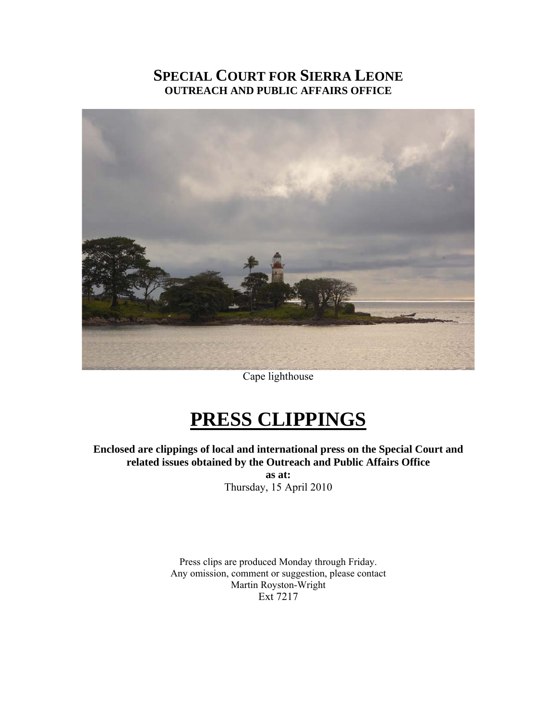# **SPECIAL COURT FOR SIERRA LEONE OUTREACH AND PUBLIC AFFAIRS OFFICE**



Cape lighthouse

# **PRESS CLIPPINGS**

**Enclosed are clippings of local and international press on the Special Court and related issues obtained by the Outreach and Public Affairs Office as at:** 

Thursday, 15 April 2010

Press clips are produced Monday through Friday. Any omission, comment or suggestion, please contact Martin Royston-Wright Ext 7217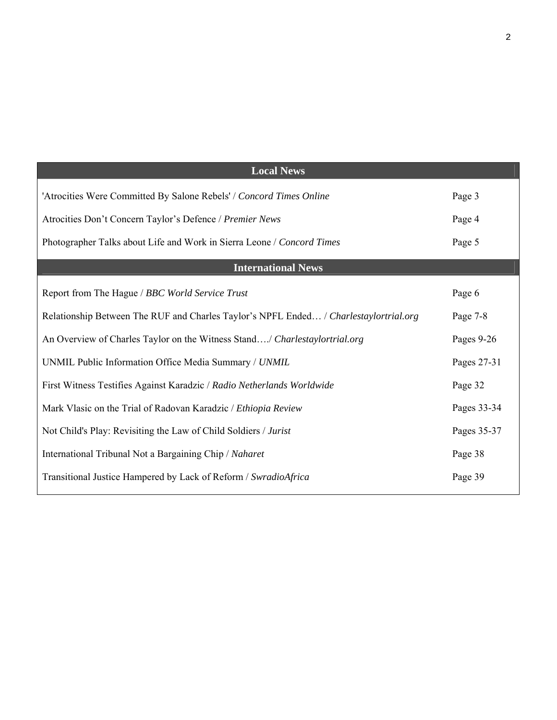| <b>Local News</b>                                                                     |             |
|---------------------------------------------------------------------------------------|-------------|
| 'Atrocities Were Committed By Salone Rebels' / Concord Times Online                   | Page 3      |
| Atrocities Don't Concern Taylor's Defence / Premier News                              | Page 4      |
| Photographer Talks about Life and Work in Sierra Leone / Concord Times                | Page 5      |
| <b>International News</b>                                                             |             |
| Report from The Hague / BBC World Service Trust                                       | Page 6      |
| Relationship Between The RUF and Charles Taylor's NPFL Ended / Charlestaylortrial.org | Page 7-8    |
| An Overview of Charles Taylor on the Witness Stand/ Charlestaylortrial.org            | Pages 9-26  |
| UNMIL Public Information Office Media Summary / UNMIL                                 | Pages 27-31 |
| First Witness Testifies Against Karadzic / Radio Netherlands Worldwide                | Page 32     |
| Mark Vlasic on the Trial of Radovan Karadzic / Ethiopia Review                        | Pages 33-34 |
| Not Child's Play: Revisiting the Law of Child Soldiers / Jurist                       | Pages 35-37 |
| International Tribunal Not a Bargaining Chip / Naharet                                | Page 38     |
| Transitional Justice Hampered by Lack of Reform / SwradioAfrica                       | Page 39     |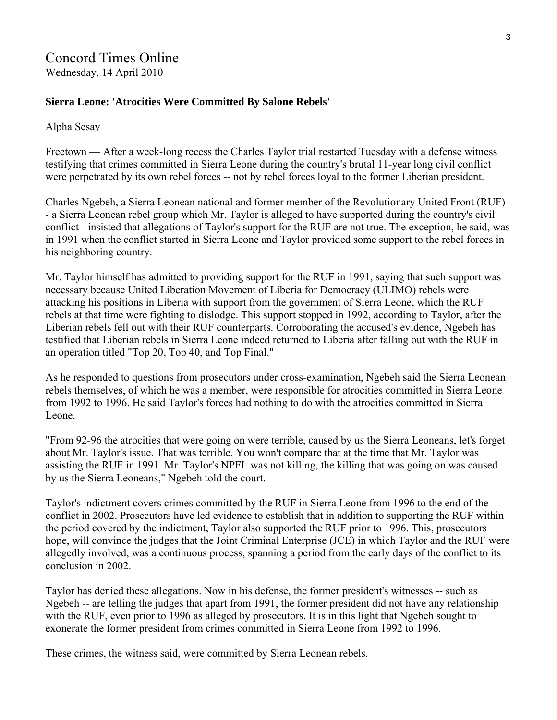## **Sierra Leone: 'Atrocities Were Committed By Salone Rebels'**

Alpha Sesay

Freetown — After a week-long recess the Charles Taylor trial restarted Tuesday with a defense witness testifying that crimes committed in Sierra Leone during the country's brutal 11-year long civil conflict were perpetrated by its own rebel forces -- not by rebel forces loyal to the former Liberian president.

Charles Ngebeh, a Sierra Leonean national and former member of the Revolutionary United Front (RUF) - a Sierra Leonean rebel group which Mr. Taylor is alleged to have supported during the country's civil conflict - insisted that allegations of Taylor's support for the RUF are not true. The exception, he said, was in 1991 when the conflict started in Sierra Leone and Taylor provided some support to the rebel forces in his neighboring country.

Mr. Taylor himself has admitted to providing support for the RUF in 1991, saying that such support was necessary because United Liberation Movement of Liberia for Democracy (ULIMO) rebels were attacking his positions in Liberia with support from the government of Sierra Leone, which the RUF rebels at that time were fighting to dislodge. This support stopped in 1992, according to Taylor, after the Liberian rebels fell out with their RUF counterparts. Corroborating the accused's evidence, Ngebeh has testified that Liberian rebels in Sierra Leone indeed returned to Liberia after falling out with the RUF in an operation titled "Top 20, Top 40, and Top Final."

As he responded to questions from prosecutors under cross-examination, Ngebeh said the Sierra Leonean rebels themselves, of which he was a member, were responsible for atrocities committed in Sierra Leone from 1992 to 1996. He said Taylor's forces had nothing to do with the atrocities committed in Sierra Leone.

"From 92-96 the atrocities that were going on were terrible, caused by us the Sierra Leoneans, let's forget about Mr. Taylor's issue. That was terrible. You won't compare that at the time that Mr. Taylor was assisting the RUF in 1991. Mr. Taylor's NPFL was not killing, the killing that was going on was caused by us the Sierra Leoneans," Ngebeh told the court.

Taylor's indictment covers crimes committed by the RUF in Sierra Leone from 1996 to the end of the conflict in 2002. Prosecutors have led evidence to establish that in addition to supporting the RUF within the period covered by the indictment, Taylor also supported the RUF prior to 1996. This, prosecutors hope, will convince the judges that the Joint Criminal Enterprise (JCE) in which Taylor and the RUF were allegedly involved, was a continuous process, spanning a period from the early days of the conflict to its conclusion in 2002.

Taylor has denied these allegations. Now in his defense, the former president's witnesses -- such as Ngebeh -- are telling the judges that apart from 1991, the former president did not have any relationship with the RUF, even prior to 1996 as alleged by prosecutors. It is in this light that Ngebeh sought to exonerate the former president from crimes committed in Sierra Leone from 1992 to 1996.

These crimes, the witness said, were committed by Sierra Leonean rebels.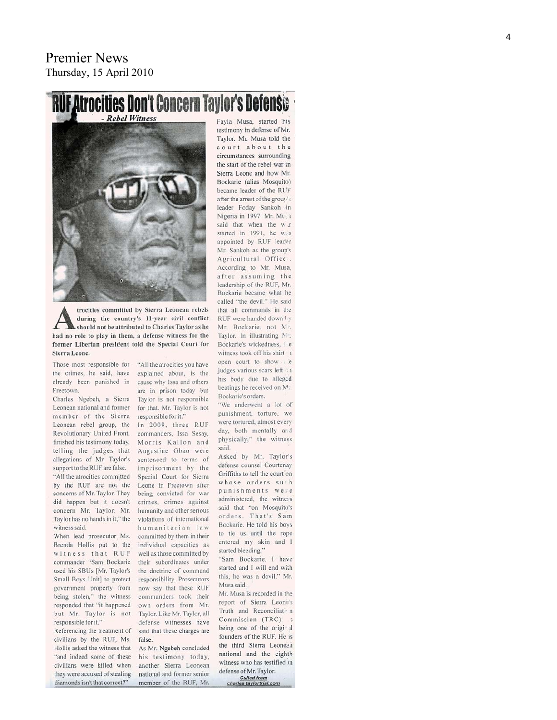# **RUF Atrocities Don't Concern Taylor's Defens**



trocities committed by Sierra Leonean rebels during the country's 11-year civil conflict should not be attributed to Charles Taylor as he had no role to play in them, a defense witness for the former Liberian president told the Special Court for Sierra Leone.

Those most responsible for the crimes, he said, have already been punished in cause why Issa and others Freetown.

Charles Ngebeh, a Sierra Leonean national and former member of the Sierra Leonean rebel group, the Revolutionary United Front, finished his testimony today, telling the judges that allegations of Mr. Taylor's support to the RUF are false. "All the atrocities committed by the RUF are not the concerns of Mr. Taylor. They did happen but it doesn't concern Mr. Taylor. Mr. Taylor has no hands in it," the witness said

When lead prosecutor Ms. Brenda Hollis put to the witness that RUF commander "Sam Bockarie used his SBUs [Mr. Taylor's Small Boys Unit] to protect government property from being stolen," the witness responded that "it happened but Mr. Taylor is not responsible for it."

Referencing the treatment of civilians by the RUF, Ms. Hollis asked the witness that "and indeed some of these civilians were killed when they were accused of stealing diamonds isn't that correct?"

explained about, is the are in prison today but Taylor is not responsible for that. Mr. Taylor is not responsible for it." In 2009, three RUF commanders, Issa Sesay, Morris Kallon and Augustine Gbao were sentenced to terms of imprisonment by the Special Court for Sierra Leone in Freetown after being convicted for war crimes, crimes against humanity and other serious violations of international humanitarian law committed by them in their individual capacities as well as those committed by their subordinates under the doctrine of command responsibility. Prosecutors now say that these RUF commanders took their own orders from Mr. Taylor. Like Mr. Taylor, all

"All the atrocities you have

defense witnesses have said that these charges are false As Mr. Ngebeh concluded his testimony today,

another Sierra Leonean national and former senior member of the RUF, Mr. Fayia Musa, started his testimony in defense of Mr. Taylor. Mr. Musa told the court about the circumstances surrounding the start of the rebel war in Sierra Leone and how Mr. Bockarie (alias Mosquito) became leader of the RUF after the arrest of the group's leader Foday Sankoh in Nigeria in 1997. Mr. Muga said that when the w.r started in 1991, he w.s. appointed by RUF leader Mr. Sankoh as the group's Agricultural Office. According to Mr. Musa, after assuming the leadership of the RUF, Mr. Bockarie became what he called "the devil." He said that all commands in the RHF were handed down by Mr. Bockarie, not Mr. Taylor. In illustrating Mr. Bockarie's wickedness. Fig. witness took off his shirt 1 open court to show i.e judges various scars left 1 his body due to alleged beatings he received on M. Bockarie's orders.

"We underwent a lot of punishment, torture, we were tortured, almost every day, both mentally and physically," the witness said.

Asked by Mr. Taylor's defense counsel Courtenay Griffiths to tell the court on whose orders such punishments were administered, the witness said that "on Mosquito's orders. That's Sam Bockarie. He told his boys to tie us until the rope entered my skin and I started bleeding."

"Sam Bockarie, I have started and I will end with this, he was a devil," Mr. Musa said

Mr. Musa is recorded in the report of Sierra Leone's Truth and Reconciliati n Commission (TRC) being one of the original founders of the RUF. He is the third Sierra Leonean national and the eighth witness who has testified in defense of Mr. Taylor. Culled from<br>charles taylortrial.com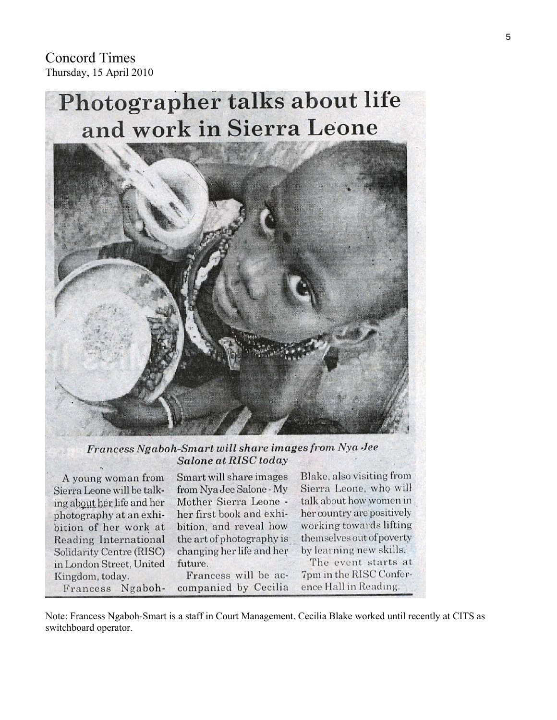Concord Times Thursday, 15 April 2010

# Photographer talks about life and work in Sierra Leone



Francess Ngaboh-Smart will share images from Nya Jee **Salone at RISC today** 

A young woman from Sierra Leone will be talking about her life and her photography at an exhibition of her work at Reading International Solidarity Centre (RISC) in London Street, United Kingdom, today. Francess NgabohSmart will share images from Nya Jee Salone - My Mother Sierra Leone her first book and exhibition, and reveal how the art of photography is changing her life and her future.

Francess will be accompanied by Cecilia Blake, also visiting from Sierra Leone, who will talk about how women in her country are positively working towards lifting themselves out of poverty by learning new skills.

The event starts at 7pm in the RISC Conference Hall in Reading.

Note: Francess Ngaboh-Smart is a staff in Court Management. Cecilia Blake worked until recently at CITS as switchboard operator.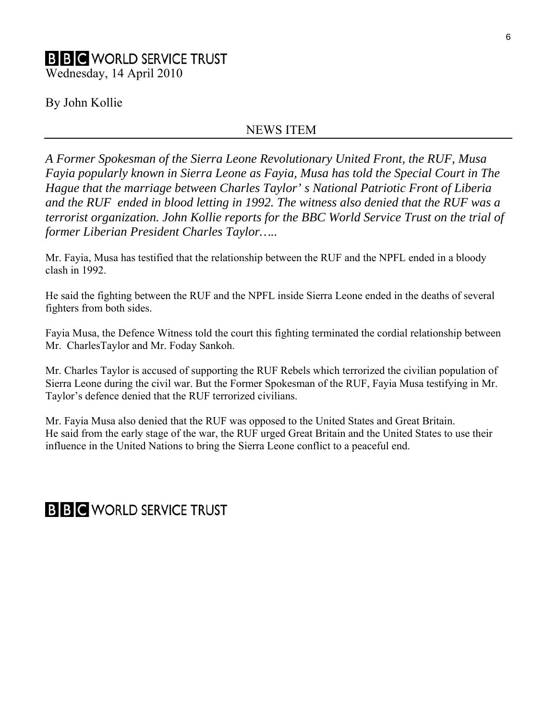# **B B C** WORLD SERVICE TRUST Wednesday, 14 April 2010

By John Kollie

# NEWS ITEM

*A Former Spokesman of the Sierra Leone Revolutionary United Front, the RUF, Musa Fayia popularly known in Sierra Leone as Fayia, Musa has told the Special Court in The Hague that the marriage between Charles Taylor' s National Patriotic Front of Liberia and the RUF ended in blood letting in 1992. The witness also denied that the RUF was a terrorist organization. John Kollie reports for the BBC World Service Trust on the trial of former Liberian President Charles Taylor…..* 

Mr. Fayia, Musa has testified that the relationship between the RUF and the NPFL ended in a bloody clash in 1992.

He said the fighting between the RUF and the NPFL inside Sierra Leone ended in the deaths of several fighters from both sides.

Fayia Musa, the Defence Witness told the court this fighting terminated the cordial relationship between Mr. CharlesTaylor and Mr. Foday Sankoh.

Mr. Charles Taylor is accused of supporting the RUF Rebels which terrorized the civilian population of Sierra Leone during the civil war. But the Former Spokesman of the RUF, Fayia Musa testifying in Mr. Taylor's defence denied that the RUF terrorized civilians.

Mr. Fayia Musa also denied that the RUF was opposed to the United States and Great Britain. He said from the early stage of the war, the RUF urged Great Britain and the United States to use their influence in the United Nations to bring the Sierra Leone conflict to a peaceful end.

**B B C** WORLD SERVICE TRUST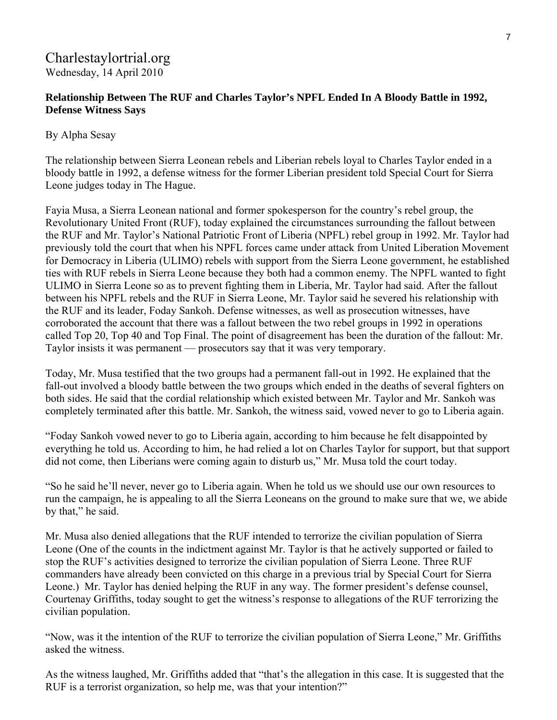# Charlestaylortrial.org Wednesday, 14 April 2010

# **Relationship Between The RUF and Charles Taylor's NPFL Ended In A Bloody Battle in 1992, Defense Witness Says**

# By Alpha Sesay

The relationship between Sierra Leonean rebels and Liberian rebels loyal to Charles Taylor ended in a bloody battle in 1992, a defense witness for the former Liberian president told Special Court for Sierra Leone judges today in The Hague.

Fayia Musa, a Sierra Leonean national and former spokesperson for the country's rebel group, the Revolutionary United Front (RUF), today explained the circumstances surrounding the fallout between the RUF and Mr. Taylor's National Patriotic Front of Liberia (NPFL) rebel group in 1992. Mr. Taylor had previously told the court that when his NPFL forces came under attack from United Liberation Movement for Democracy in Liberia (ULIMO) rebels with support from the Sierra Leone government, he established ties with RUF rebels in Sierra Leone because they both had a common enemy. The NPFL wanted to fight ULIMO in Sierra Leone so as to prevent fighting them in Liberia, Mr. Taylor had said. After the fallout between his NPFL rebels and the RUF in Sierra Leone, Mr. Taylor said he severed his relationship with the RUF and its leader, Foday Sankoh. Defense witnesses, as well as prosecution witnesses, have corroborated the account that there was a fallout between the two rebel groups in 1992 in operations called Top 20, Top 40 and Top Final. The point of disagreement has been the duration of the fallout: Mr. Taylor insists it was permanent — prosecutors say that it was very temporary.

Today, Mr. Musa testified that the two groups had a permanent fall-out in 1992. He explained that the fall-out involved a bloody battle between the two groups which ended in the deaths of several fighters on both sides. He said that the cordial relationship which existed between Mr. Taylor and Mr. Sankoh was completely terminated after this battle. Mr. Sankoh, the witness said, vowed never to go to Liberia again.

"Foday Sankoh vowed never to go to Liberia again, according to him because he felt disappointed by everything he told us. According to him, he had relied a lot on Charles Taylor for support, but that support did not come, then Liberians were coming again to disturb us," Mr. Musa told the court today.

"So he said he'll never, never go to Liberia again. When he told us we should use our own resources to run the campaign, he is appealing to all the Sierra Leoneans on the ground to make sure that we, we abide by that," he said.

Mr. Musa also denied allegations that the RUF intended to terrorize the civilian population of Sierra Leone (One of the counts in the indictment against Mr. Taylor is that he actively supported or failed to stop the RUF's activities designed to terrorize the civilian population of Sierra Leone. Three RUF commanders have already been convicted on this charge in a previous trial by Special Court for Sierra Leone.) Mr. Taylor has denied helping the RUF in any way. The former president's defense counsel, Courtenay Griffiths, today sought to get the witness's response to allegations of the RUF terrorizing the civilian population.

"Now, was it the intention of the RUF to terrorize the civilian population of Sierra Leone," Mr. Griffiths asked the witness.

As the witness laughed, Mr. Griffiths added that "that's the allegation in this case. It is suggested that the RUF is a terrorist organization, so help me, was that your intention?"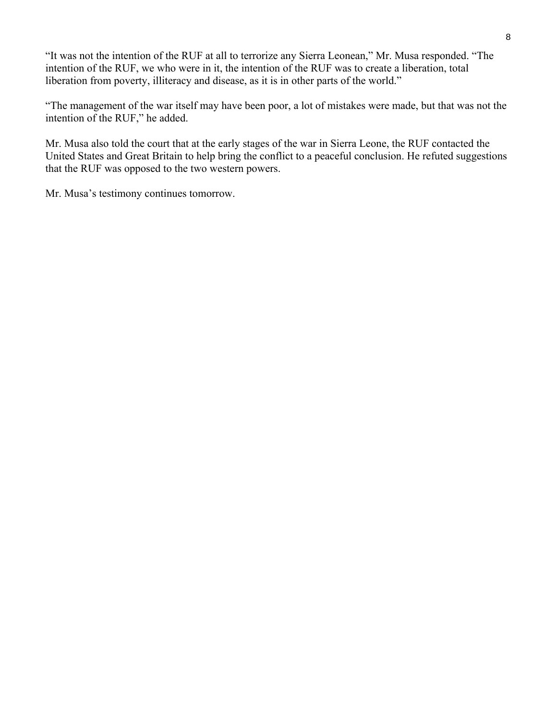"It was not the intention of the RUF at all to terrorize any Sierra Leonean," Mr. Musa responded. "The intention of the RUF, we who were in it, the intention of the RUF was to create a liberation, total liberation from poverty, illiteracy and disease, as it is in other parts of the world."

"The management of the war itself may have been poor, a lot of mistakes were made, but that was not the intention of the RUF," he added.

Mr. Musa also told the court that at the early stages of the war in Sierra Leone, the RUF contacted the United States and Great Britain to help bring the conflict to a peaceful conclusion. He refuted suggestions that the RUF was opposed to the two western powers.

Mr. Musa's testimony continues tomorrow.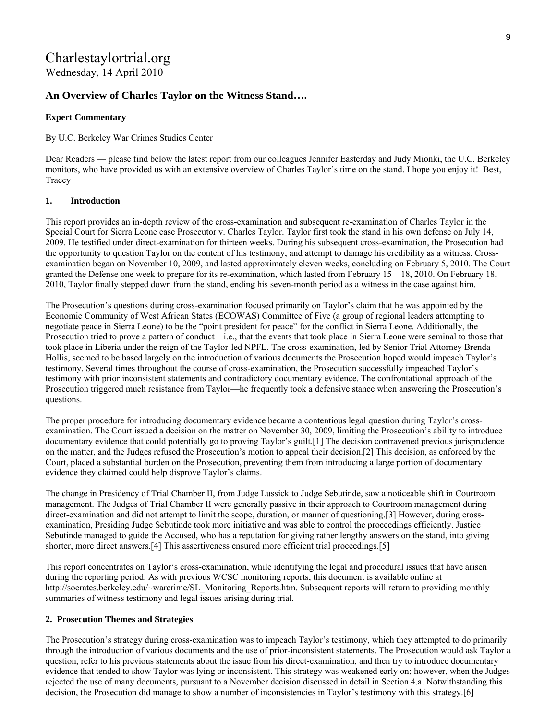# Charlestaylortrial.org Wednesday, 14 April 2010

## **An Overview of Charles Taylor on the Witness Stand….**

## **Expert Commentary**

By U.C. Berkeley War Crimes Studies Center

Dear Readers — please find below the latest report from our colleagues Jennifer Easterday and Judy Mionki, the U.C. Berkeley monitors, who have provided us with an extensive overview of Charles Taylor's time on the stand. I hope you enjoy it! Best, Tracey

## **1. Introduction**

This report provides an in-depth review of the cross-examination and subsequent re-examination of Charles Taylor in the Special Court for Sierra Leone case Prosecutor v. Charles Taylor. Taylor first took the stand in his own defense on July 14, 2009. He testified under direct-examination for thirteen weeks. During his subsequent cross-examination, the Prosecution had the opportunity to question Taylor on the content of his testimony, and attempt to damage his credibility as a witness. Crossexamination began on November 10, 2009, and lasted approximately eleven weeks, concluding on February 5, 2010. The Court granted the Defense one week to prepare for its re-examination, which lasted from February 15 – 18, 2010. On February 18, 2010, Taylor finally stepped down from the stand, ending his seven-month period as a witness in the case against him.

The Prosecution's questions during cross-examination focused primarily on Taylor's claim that he was appointed by the Economic Community of West African States (ECOWAS) Committee of Five (a group of regional leaders attempting to negotiate peace in Sierra Leone) to be the "point president for peace" for the conflict in Sierra Leone. Additionally, the Prosecution tried to prove a pattern of conduct—i.e., that the events that took place in Sierra Leone were seminal to those that took place in Liberia under the reign of the Taylor-led NPFL. The cross-examination, led by Senior Trial Attorney Brenda Hollis, seemed to be based largely on the introduction of various documents the Prosecution hoped would impeach Taylor's testimony. Several times throughout the course of cross-examination, the Prosecution successfully impeached Taylor's testimony with prior inconsistent statements and contradictory documentary evidence. The confrontational approach of the Prosecution triggered much resistance from Taylor—he frequently took a defensive stance when answering the Prosecution's questions.

The proper procedure for introducing documentary evidence became a contentious legal question during Taylor's crossexamination. The Court issued a decision on the matter on November 30, 2009, limiting the Prosecution's ability to introduce documentary evidence that could potentially go to proving Taylor's guilt.[1] The decision contravened previous jurisprudence on the matter, and the Judges refused the Prosecution's motion to appeal their decision.[2] This decision, as enforced by the Court, placed a substantial burden on the Prosecution, preventing them from introducing a large portion of documentary evidence they claimed could help disprove Taylor's claims.

The change in Presidency of Trial Chamber II, from Judge Lussick to Judge Sebutinde, saw a noticeable shift in Courtroom management. The Judges of Trial Chamber II were generally passive in their approach to Courtroom management during direct-examination and did not attempt to limit the scope, duration, or manner of questioning.[3] However, during crossexamination, Presiding Judge Sebutinde took more initiative and was able to control the proceedings efficiently. Justice Sebutinde managed to guide the Accused, who has a reputation for giving rather lengthy answers on the stand, into giving shorter, more direct answers.[4] This assertiveness ensured more efficient trial proceedings.[5]

This report concentrates on Taylor's cross-examination, while identifying the legal and procedural issues that have arisen during the reporting period. As with previous WCSC monitoring reports, this document is available online at http://socrates.berkeley.edu/~warcrime/SL\_Monitoring\_Reports.htm. Subsequent reports will return to providing monthly summaries of witness testimony and legal issues arising during trial.

## **2. Prosecution Themes and Strategies**

The Prosecution's strategy during cross-examination was to impeach Taylor's testimony, which they attempted to do primarily through the introduction of various documents and the use of prior-inconsistent statements. The Prosecution would ask Taylor a question, refer to his previous statements about the issue from his direct-examination, and then try to introduce documentary evidence that tended to show Taylor was lying or inconsistent. This strategy was weakened early on; however, when the Judges rejected the use of many documents, pursuant to a November decision discussed in detail in Section 4.a. Notwithstanding this decision, the Prosecution did manage to show a number of inconsistencies in Taylor's testimony with this strategy.[6]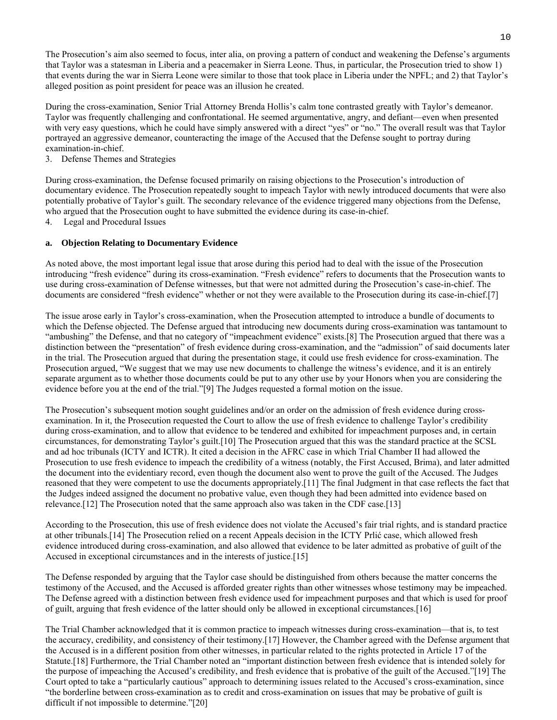The Prosecution's aim also seemed to focus, inter alia, on proving a pattern of conduct and weakening the Defense's arguments that Taylor was a statesman in Liberia and a peacemaker in Sierra Leone. Thus, in particular, the Prosecution tried to show 1) that events during the war in Sierra Leone were similar to those that took place in Liberia under the NPFL; and 2) that Taylor's alleged position as point president for peace was an illusion he created.

During the cross-examination, Senior Trial Attorney Brenda Hollis's calm tone contrasted greatly with Taylor's demeanor. Taylor was frequently challenging and confrontational. He seemed argumentative, angry, and defiant—even when presented with very easy questions, which he could have simply answered with a direct "yes" or "no." The overall result was that Taylor portrayed an aggressive demeanor, counteracting the image of the Accused that the Defense sought to portray during examination-in-chief.

3. Defense Themes and Strategies

During cross-examination, the Defense focused primarily on raising objections to the Prosecution's introduction of documentary evidence. The Prosecution repeatedly sought to impeach Taylor with newly introduced documents that were also potentially probative of Taylor's guilt. The secondary relevance of the evidence triggered many objections from the Defense, who argued that the Prosecution ought to have submitted the evidence during its case-in-chief.

4. Legal and Procedural Issues

#### **a. Objection Relating to Documentary Evidence**

As noted above, the most important legal issue that arose during this period had to deal with the issue of the Prosecution introducing "fresh evidence" during its cross-examination. "Fresh evidence" refers to documents that the Prosecution wants to use during cross-examination of Defense witnesses, but that were not admitted during the Prosecution's case-in-chief. The documents are considered "fresh evidence" whether or not they were available to the Prosecution during its case-in-chief.[7]

The issue arose early in Taylor's cross-examination, when the Prosecution attempted to introduce a bundle of documents to which the Defense objected. The Defense argued that introducing new documents during cross-examination was tantamount to "ambushing" the Defense, and that no category of "impeachment evidence" exists.[8] The Prosecution argued that there was a distinction between the "presentation" of fresh evidence during cross-examination, and the "admission" of said documents later in the trial. The Prosecution argued that during the presentation stage, it could use fresh evidence for cross-examination. The Prosecution argued, "We suggest that we may use new documents to challenge the witness's evidence, and it is an entirely separate argument as to whether those documents could be put to any other use by your Honors when you are considering the evidence before you at the end of the trial."[9] The Judges requested a formal motion on the issue.

The Prosecution's subsequent motion sought guidelines and/or an order on the admission of fresh evidence during crossexamination. In it, the Prosecution requested the Court to allow the use of fresh evidence to challenge Taylor's credibility during cross-examination, and to allow that evidence to be tendered and exhibited for impeachment purposes and, in certain circumstances, for demonstrating Taylor's guilt.[10] The Prosecution argued that this was the standard practice at the SCSL and ad hoc tribunals (ICTY and ICTR). It cited a decision in the AFRC case in which Trial Chamber II had allowed the Prosecution to use fresh evidence to impeach the credibility of a witness (notably, the First Accused, Brima), and later admitted the document into the evidentiary record, even though the document also went to prove the guilt of the Accused. The Judges reasoned that they were competent to use the documents appropriately.[11] The final Judgment in that case reflects the fact that the Judges indeed assigned the document no probative value, even though they had been admitted into evidence based on relevance.[12] The Prosecution noted that the same approach also was taken in the CDF case.[13]

According to the Prosecution, this use of fresh evidence does not violate the Accused's fair trial rights, and is standard practice at other tribunals.[14] The Prosecution relied on a recent Appeals decision in the ICTY Prlić case, which allowed fresh evidence introduced during cross-examination, and also allowed that evidence to be later admitted as probative of guilt of the Accused in exceptional circumstances and in the interests of justice.[15]

The Defense responded by arguing that the Taylor case should be distinguished from others because the matter concerns the testimony of the Accused, and the Accused is afforded greater rights than other witnesses whose testimony may be impeached. The Defense agreed with a distinction between fresh evidence used for impeachment purposes and that which is used for proof of guilt, arguing that fresh evidence of the latter should only be allowed in exceptional circumstances.[16]

The Trial Chamber acknowledged that it is common practice to impeach witnesses during cross-examination—that is, to test the accuracy, credibility, and consistency of their testimony.[17] However, the Chamber agreed with the Defense argument that the Accused is in a different position from other witnesses, in particular related to the rights protected in Article 17 of the Statute.[18] Furthermore, the Trial Chamber noted an "important distinction between fresh evidence that is intended solely for the purpose of impeaching the Accused's credibility, and fresh evidence that is probative of the guilt of the Accused."[19] The Court opted to take a "particularly cautious" approach to determining issues related to the Accused's cross-examination, since "the borderline between cross-examination as to credit and cross-examination on issues that may be probative of guilt is difficult if not impossible to determine."[20]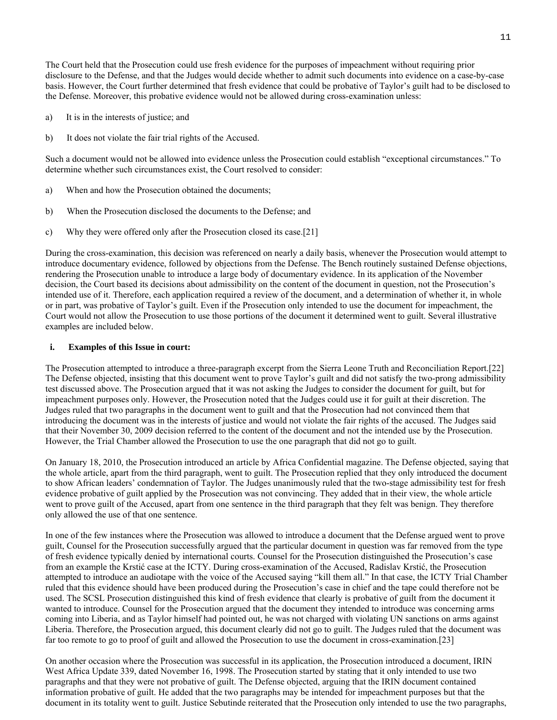The Court held that the Prosecution could use fresh evidence for the purposes of impeachment without requiring prior disclosure to the Defense, and that the Judges would decide whether to admit such documents into evidence on a case-by-case basis. However, the Court further determined that fresh evidence that could be probative of Taylor's guilt had to be disclosed to the Defense. Moreover, this probative evidence would not be allowed during cross-examination unless:

- a) It is in the interests of justice; and
- b) It does not violate the fair trial rights of the Accused.

Such a document would not be allowed into evidence unless the Prosecution could establish "exceptional circumstances." To determine whether such circumstances exist, the Court resolved to consider:

- a) When and how the Prosecution obtained the documents;
- b) When the Prosecution disclosed the documents to the Defense; and
- c) Why they were offered only after the Prosecution closed its case.[21]

During the cross-examination, this decision was referenced on nearly a daily basis, whenever the Prosecution would attempt to introduce documentary evidence, followed by objections from the Defense. The Bench routinely sustained Defense objections, rendering the Prosecution unable to introduce a large body of documentary evidence. In its application of the November decision, the Court based its decisions about admissibility on the content of the document in question, not the Prosecution's intended use of it. Therefore, each application required a review of the document, and a determination of whether it, in whole or in part, was probative of Taylor's guilt. Even if the Prosecution only intended to use the document for impeachment, the Court would not allow the Prosecution to use those portions of the document it determined went to guilt. Several illustrative examples are included below.

#### **i. Examples of this Issue in court:**

The Prosecution attempted to introduce a three-paragraph excerpt from the Sierra Leone Truth and Reconciliation Report.[22] The Defense objected, insisting that this document went to prove Taylor's guilt and did not satisfy the two-prong admissibility test discussed above. The Prosecution argued that it was not asking the Judges to consider the document for guilt, but for impeachment purposes only. However, the Prosecution noted that the Judges could use it for guilt at their discretion. The Judges ruled that two paragraphs in the document went to guilt and that the Prosecution had not convinced them that introducing the document was in the interests of justice and would not violate the fair rights of the accused. The Judges said that their November 30, 2009 decision referred to the content of the document and not the intended use by the Prosecution. However, the Trial Chamber allowed the Prosecution to use the one paragraph that did not go to guilt.

On January 18, 2010, the Prosecution introduced an article by Africa Confidential magazine. The Defense objected, saying that the whole article, apart from the third paragraph, went to guilt. The Prosecution replied that they only introduced the document to show African leaders' condemnation of Taylor. The Judges unanimously ruled that the two-stage admissibility test for fresh evidence probative of guilt applied by the Prosecution was not convincing. They added that in their view, the whole article went to prove guilt of the Accused, apart from one sentence in the third paragraph that they felt was benign. They therefore only allowed the use of that one sentence.

In one of the few instances where the Prosecution was allowed to introduce a document that the Defense argued went to prove guilt, Counsel for the Prosecution successfully argued that the particular document in question was far removed from the type of fresh evidence typically denied by international courts. Counsel for the Prosecution distinguished the Prosecution's case from an example the Krstić case at the ICTY. During cross-examination of the Accused, Radislav Krstić, the Prosecution attempted to introduce an audiotape with the voice of the Accused saying "kill them all." In that case, the ICTY Trial Chamber ruled that this evidence should have been produced during the Prosecution's case in chief and the tape could therefore not be used. The SCSL Prosecution distinguished this kind of fresh evidence that clearly is probative of guilt from the document it wanted to introduce. Counsel for the Prosecution argued that the document they intended to introduce was concerning arms coming into Liberia, and as Taylor himself had pointed out, he was not charged with violating UN sanctions on arms against Liberia. Therefore, the Prosecution argued, this document clearly did not go to guilt. The Judges ruled that the document was far too remote to go to proof of guilt and allowed the Prosecution to use the document in cross-examination.[23]

On another occasion where the Prosecution was successful in its application, the Prosecution introduced a document, IRIN West Africa Update 339, dated November 16, 1998. The Prosecution started by stating that it only intended to use two paragraphs and that they were not probative of guilt. The Defense objected, arguing that the IRIN document contained information probative of guilt. He added that the two paragraphs may be intended for impeachment purposes but that the document in its totality went to guilt. Justice Sebutinde reiterated that the Prosecution only intended to use the two paragraphs,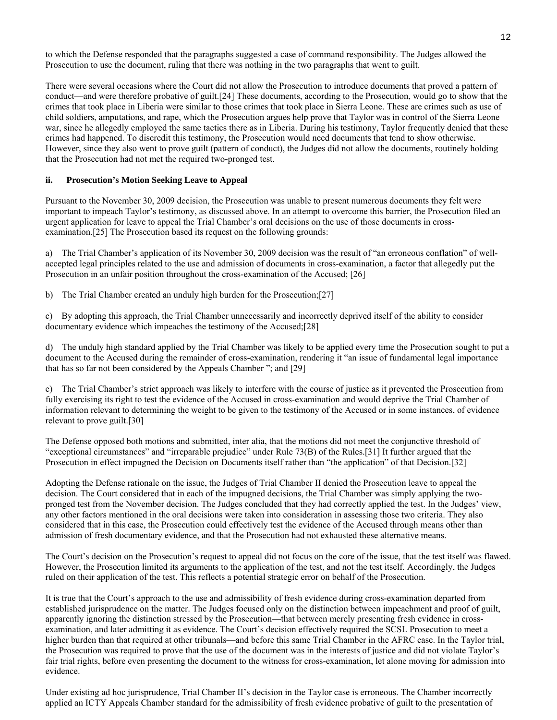to which the Defense responded that the paragraphs suggested a case of command responsibility. The Judges allowed the Prosecution to use the document, ruling that there was nothing in the two paragraphs that went to guilt.

There were several occasions where the Court did not allow the Prosecution to introduce documents that proved a pattern of conduct—and were therefore probative of guilt.[24] These documents, according to the Prosecution, would go to show that the crimes that took place in Liberia were similar to those crimes that took place in Sierra Leone. These are crimes such as use of child soldiers, amputations, and rape, which the Prosecution argues help prove that Taylor was in control of the Sierra Leone war, since he allegedly employed the same tactics there as in Liberia. During his testimony, Taylor frequently denied that these crimes had happened. To discredit this testimony, the Prosecution would need documents that tend to show otherwise. However, since they also went to prove guilt (pattern of conduct), the Judges did not allow the documents, routinely holding that the Prosecution had not met the required two-pronged test.

#### **ii. Prosecution's Motion Seeking Leave to Appeal**

Pursuant to the November 30, 2009 decision, the Prosecution was unable to present numerous documents they felt were important to impeach Taylor's testimony, as discussed above. In an attempt to overcome this barrier, the Prosecution filed an urgent application for leave to appeal the Trial Chamber's oral decisions on the use of those documents in crossexamination.[25] The Prosecution based its request on the following grounds:

a) The Trial Chamber's application of its November 30, 2009 decision was the result of "an erroneous conflation" of wellaccepted legal principles related to the use and admission of documents in cross-examination, a factor that allegedly put the Prosecution in an unfair position throughout the cross-examination of the Accused; [26]

b) The Trial Chamber created an unduly high burden for the Prosecution;[27]

c) By adopting this approach, the Trial Chamber unnecessarily and incorrectly deprived itself of the ability to consider documentary evidence which impeaches the testimony of the Accused;[28]

d) The unduly high standard applied by the Trial Chamber was likely to be applied every time the Prosecution sought to put a document to the Accused during the remainder of cross-examination, rendering it "an issue of fundamental legal importance that has so far not been considered by the Appeals Chamber "; and [29]

e) The Trial Chamber's strict approach was likely to interfere with the course of justice as it prevented the Prosecution from fully exercising its right to test the evidence of the Accused in cross-examination and would deprive the Trial Chamber of information relevant to determining the weight to be given to the testimony of the Accused or in some instances, of evidence relevant to prove guilt.[30]

The Defense opposed both motions and submitted, inter alia, that the motions did not meet the conjunctive threshold of "exceptional circumstances" and "irreparable prejudice" under Rule 73(B) of the Rules.[31] It further argued that the Prosecution in effect impugned the Decision on Documents itself rather than "the application" of that Decision.[32]

Adopting the Defense rationale on the issue, the Judges of Trial Chamber II denied the Prosecution leave to appeal the decision. The Court considered that in each of the impugned decisions, the Trial Chamber was simply applying the twopronged test from the November decision. The Judges concluded that they had correctly applied the test. In the Judges' view, any other factors mentioned in the oral decisions were taken into consideration in assessing those two criteria. They also considered that in this case, the Prosecution could effectively test the evidence of the Accused through means other than admission of fresh documentary evidence, and that the Prosecution had not exhausted these alternative means.

The Court's decision on the Prosecution's request to appeal did not focus on the core of the issue, that the test itself was flawed. However, the Prosecution limited its arguments to the application of the test, and not the test itself. Accordingly, the Judges ruled on their application of the test. This reflects a potential strategic error on behalf of the Prosecution.

It is true that the Court's approach to the use and admissibility of fresh evidence during cross-examination departed from established jurisprudence on the matter. The Judges focused only on the distinction between impeachment and proof of guilt, apparently ignoring the distinction stressed by the Prosecution—that between merely presenting fresh evidence in crossexamination, and later admitting it as evidence. The Court's decision effectively required the SCSL Prosecution to meet a higher burden than that required at other tribunals—and before this same Trial Chamber in the AFRC case. In the Taylor trial, the Prosecution was required to prove that the use of the document was in the interests of justice and did not violate Taylor's fair trial rights, before even presenting the document to the witness for cross-examination, let alone moving for admission into evidence.

Under existing ad hoc jurisprudence, Trial Chamber II's decision in the Taylor case is erroneous. The Chamber incorrectly applied an ICTY Appeals Chamber standard for the admissibility of fresh evidence probative of guilt to the presentation of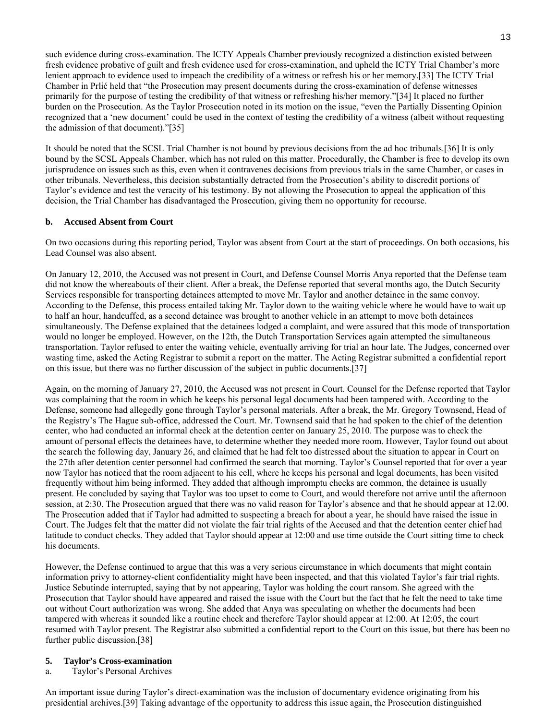such evidence during cross-examination. The ICTY Appeals Chamber previously recognized a distinction existed between fresh evidence probative of guilt and fresh evidence used for cross-examination, and upheld the ICTY Trial Chamber's more lenient approach to evidence used to impeach the credibility of a witness or refresh his or her memory.[33] The ICTY Trial Chamber in Prlić held that "the Prosecution may present documents during the cross-examination of defense witnesses primarily for the purpose of testing the credibility of that witness or refreshing his/her memory."[34] It placed no further burden on the Prosecution. As the Taylor Prosecution noted in its motion on the issue, "even the Partially Dissenting Opinion recognized that a 'new document' could be used in the context of testing the credibility of a witness (albeit without requesting the admission of that document)."[35]

It should be noted that the SCSL Trial Chamber is not bound by previous decisions from the ad hoc tribunals.[36] It is only bound by the SCSL Appeals Chamber, which has not ruled on this matter. Procedurally, the Chamber is free to develop its own jurisprudence on issues such as this, even when it contravenes decisions from previous trials in the same Chamber, or cases in other tribunals. Nevertheless, this decision substantially detracted from the Prosecution's ability to discredit portions of Taylor's evidence and test the veracity of his testimony. By not allowing the Prosecution to appeal the application of this decision, the Trial Chamber has disadvantaged the Prosecution, giving them no opportunity for recourse.

## **b. Accused Absent from Court**

On two occasions during this reporting period, Taylor was absent from Court at the start of proceedings. On both occasions, his Lead Counsel was also absent.

On January 12, 2010, the Accused was not present in Court, and Defense Counsel Morris Anya reported that the Defense team did not know the whereabouts of their client. After a break, the Defense reported that several months ago, the Dutch Security Services responsible for transporting detainees attempted to move Mr. Taylor and another detainee in the same convoy. According to the Defense, this process entailed taking Mr. Taylor down to the waiting vehicle where he would have to wait up to half an hour, handcuffed, as a second detainee was brought to another vehicle in an attempt to move both detainees simultaneously. The Defense explained that the detainees lodged a complaint, and were assured that this mode of transportation would no longer be employed. However, on the 12th, the Dutch Transportation Services again attempted the simultaneous transportation. Taylor refused to enter the waiting vehicle, eventually arriving for trial an hour late. The Judges, concerned over wasting time, asked the Acting Registrar to submit a report on the matter. The Acting Registrar submitted a confidential report on this issue, but there was no further discussion of the subject in public documents.[37]

Again, on the morning of January 27, 2010, the Accused was not present in Court. Counsel for the Defense reported that Taylor was complaining that the room in which he keeps his personal legal documents had been tampered with. According to the Defense, someone had allegedly gone through Taylor's personal materials. After a break, the Mr. Gregory Townsend, Head of the Registry's The Hague sub-office, addressed the Court. Mr. Townsend said that he had spoken to the chief of the detention center, who had conducted an informal check at the detention center on January 25, 2010. The purpose was to check the amount of personal effects the detainees have, to determine whether they needed more room. However, Taylor found out about the search the following day, January 26, and claimed that he had felt too distressed about the situation to appear in Court on the 27th after detention center personnel had confirmed the search that morning. Taylor's Counsel reported that for over a year now Taylor has noticed that the room adjacent to his cell, where he keeps his personal and legal documents, has been visited frequently without him being informed. They added that although impromptu checks are common, the detainee is usually present. He concluded by saying that Taylor was too upset to come to Court, and would therefore not arrive until the afternoon session, at 2:30. The Prosecution argued that there was no valid reason for Taylor's absence and that he should appear at 12.00. The Prosecution added that if Taylor had admitted to suspecting a breach for about a year, he should have raised the issue in Court. The Judges felt that the matter did not violate the fair trial rights of the Accused and that the detention center chief had latitude to conduct checks. They added that Taylor should appear at 12:00 and use time outside the Court sitting time to check his documents.

However, the Defense continued to argue that this was a very serious circumstance in which documents that might contain information privy to attorney-client confidentiality might have been inspected, and that this violated Taylor's fair trial rights. Justice Sebutinde interrupted, saying that by not appearing, Taylor was holding the court ransom. She agreed with the Prosecution that Taylor should have appeared and raised the issue with the Court but the fact that he felt the need to take time out without Court authorization was wrong. She added that Anya was speculating on whether the documents had been tampered with whereas it sounded like a routine check and therefore Taylor should appear at 12:00. At 12:05, the court resumed with Taylor present. The Registrar also submitted a confidential report to the Court on this issue, but there has been no further public discussion.[38]

## **5. Taylor's Cross-examination**

a. Taylor's Personal Archives

An important issue during Taylor's direct-examination was the inclusion of documentary evidence originating from his presidential archives.[39] Taking advantage of the opportunity to address this issue again, the Prosecution distinguished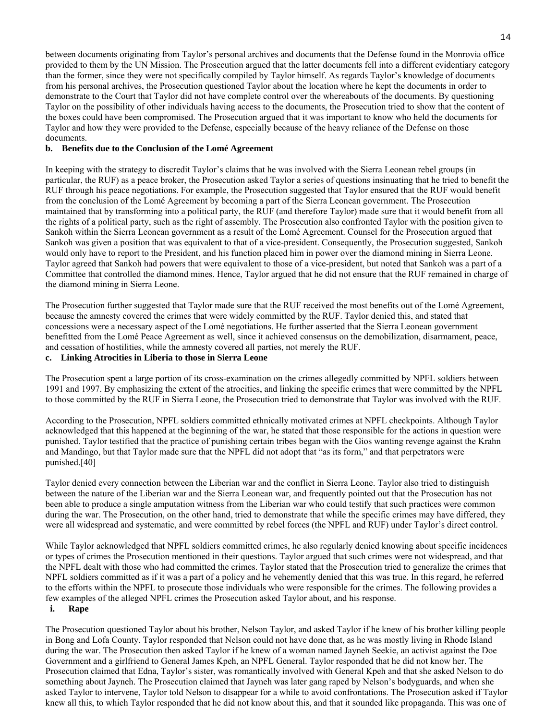between documents originating from Taylor's personal archives and documents that the Defense found in the Monrovia office provided to them by the UN Mission. The Prosecution argued that the latter documents fell into a different evidentiary category than the former, since they were not specifically compiled by Taylor himself. As regards Taylor's knowledge of documents from his personal archives, the Prosecution questioned Taylor about the location where he kept the documents in order to demonstrate to the Court that Taylor did not have complete control over the whereabouts of the documents. By questioning Taylor on the possibility of other individuals having access to the documents, the Prosecution tried to show that the content of the boxes could have been compromised. The Prosecution argued that it was important to know who held the documents for Taylor and how they were provided to the Defense, especially because of the heavy reliance of the Defense on those documents.

#### **b. Benefits due to the Conclusion of the Lomé Agreement**

In keeping with the strategy to discredit Taylor's claims that he was involved with the Sierra Leonean rebel groups (in particular, the RUF) as a peace broker, the Prosecution asked Taylor a series of questions insinuating that he tried to benefit the RUF through his peace negotiations. For example, the Prosecution suggested that Taylor ensured that the RUF would benefit from the conclusion of the Lomé Agreement by becoming a part of the Sierra Leonean government. The Prosecution maintained that by transforming into a political party, the RUF (and therefore Taylor) made sure that it would benefit from all the rights of a political party, such as the right of assembly. The Prosecution also confronted Taylor with the position given to Sankoh within the Sierra Leonean government as a result of the Lomé Agreement. Counsel for the Prosecution argued that Sankoh was given a position that was equivalent to that of a vice-president. Consequently, the Prosecution suggested, Sankoh would only have to report to the President, and his function placed him in power over the diamond mining in Sierra Leone. Taylor agreed that Sankoh had powers that were equivalent to those of a vice-president, but noted that Sankoh was a part of a Committee that controlled the diamond mines. Hence, Taylor argued that he did not ensure that the RUF remained in charge of the diamond mining in Sierra Leone.

The Prosecution further suggested that Taylor made sure that the RUF received the most benefits out of the Lomé Agreement, because the amnesty covered the crimes that were widely committed by the RUF. Taylor denied this, and stated that concessions were a necessary aspect of the Lomé negotiations. He further asserted that the Sierra Leonean government benefitted from the Lomé Peace Agreement as well, since it achieved consensus on the demobilization, disarmament, peace, and cessation of hostilities, while the amnesty covered all parties, not merely the RUF.

#### **c. Linking Atrocities in Liberia to those in Sierra Leone**

The Prosecution spent a large portion of its cross-examination on the crimes allegedly committed by NPFL soldiers between 1991 and 1997. By emphasizing the extent of the atrocities, and linking the specific crimes that were committed by the NPFL to those committed by the RUF in Sierra Leone, the Prosecution tried to demonstrate that Taylor was involved with the RUF.

According to the Prosecution, NPFL soldiers committed ethnically motivated crimes at NPFL checkpoints. Although Taylor acknowledged that this happened at the beginning of the war, he stated that those responsible for the actions in question were punished. Taylor testified that the practice of punishing certain tribes began with the Gios wanting revenge against the Krahn and Mandingo, but that Taylor made sure that the NPFL did not adopt that "as its form," and that perpetrators were punished.[40]

Taylor denied every connection between the Liberian war and the conflict in Sierra Leone. Taylor also tried to distinguish between the nature of the Liberian war and the Sierra Leonean war, and frequently pointed out that the Prosecution has not been able to produce a single amputation witness from the Liberian war who could testify that such practices were common during the war. The Prosecution, on the other hand, tried to demonstrate that while the specific crimes may have differed, they were all widespread and systematic, and were committed by rebel forces (the NPFL and RUF) under Taylor's direct control.

While Taylor acknowledged that NPFL soldiers committed crimes, he also regularly denied knowing about specific incidences or types of crimes the Prosecution mentioned in their questions. Taylor argued that such crimes were not widespread, and that the NPFL dealt with those who had committed the crimes. Taylor stated that the Prosecution tried to generalize the crimes that NPFL soldiers committed as if it was a part of a policy and he vehemently denied that this was true. In this regard, he referred to the efforts within the NPFL to prosecute those individuals who were responsible for the crimes. The following provides a few examples of the alleged NPFL crimes the Prosecution asked Taylor about, and his response.  **i. Rape** 

The Prosecution questioned Taylor about his brother, Nelson Taylor, and asked Taylor if he knew of his brother killing people in Bong and Lofa County. Taylor responded that Nelson could not have done that, as he was mostly living in Rhode Island during the war. The Prosecution then asked Taylor if he knew of a woman named Jayneh Seekie, an activist against the Doe Government and a girlfriend to General James Kpeh, an NPFL General. Taylor responded that he did not know her. The Prosecution claimed that Edna, Taylor's sister, was romantically involved with General Kpeh and that she asked Nelson to do something about Jayneh. The Prosecution claimed that Jayneh was later gang raped by Nelson's bodyguards, and when she asked Taylor to intervene, Taylor told Nelson to disappear for a while to avoid confrontations. The Prosecution asked if Taylor knew all this, to which Taylor responded that he did not know about this, and that it sounded like propaganda. This was one of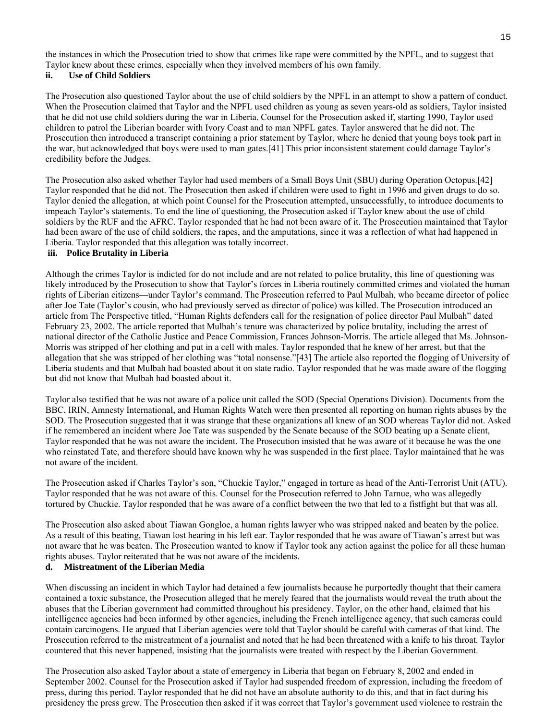the instances in which the Prosecution tried to show that crimes like rape were committed by the NPFL, and to suggest that Taylor knew about these crimes, especially when they involved members of his own family.

## **ii. Use of Child Soldiers**

The Prosecution also questioned Taylor about the use of child soldiers by the NPFL in an attempt to show a pattern of conduct. When the Prosecution claimed that Taylor and the NPFL used children as young as seven years-old as soldiers, Taylor insisted that he did not use child soldiers during the war in Liberia. Counsel for the Prosecution asked if, starting 1990, Taylor used children to patrol the Liberian boarder with Ivory Coast and to man NPFL gates. Taylor answered that he did not. The Prosecution then introduced a transcript containing a prior statement by Taylor, where he denied that young boys took part in the war, but acknowledged that boys were used to man gates.[41] This prior inconsistent statement could damage Taylor's credibility before the Judges.

The Prosecution also asked whether Taylor had used members of a Small Boys Unit (SBU) during Operation Octopus.[42] Taylor responded that he did not. The Prosecution then asked if children were used to fight in 1996 and given drugs to do so. Taylor denied the allegation, at which point Counsel for the Prosecution attempted, unsuccessfully, to introduce documents to impeach Taylor's statements. To end the line of questioning, the Prosecution asked if Taylor knew about the use of child soldiers by the RUF and the AFRC. Taylor responded that he had not been aware of it. The Prosecution maintained that Taylor had been aware of the use of child soldiers, the rapes, and the amputations, since it was a reflection of what had happened in Liberia. Taylor responded that this allegation was totally incorrect.

## **iii. Police Brutality in Liberia**

Although the crimes Taylor is indicted for do not include and are not related to police brutality, this line of questioning was likely introduced by the Prosecution to show that Taylor's forces in Liberia routinely committed crimes and violated the human rights of Liberian citizens—under Taylor's command. The Prosecution referred to Paul Mulbah, who became director of police after Joe Tate (Taylor's cousin, who had previously served as director of police) was killed. The Prosecution introduced an article from The Perspective titled, "Human Rights defenders call for the resignation of police director Paul Mulbah" dated February 23, 2002. The article reported that Mulbah's tenure was characterized by police brutality, including the arrest of national director of the Catholic Justice and Peace Commission, Frances Johnson-Morris. The article alleged that Ms. Johnson-Morris was stripped of her clothing and put in a cell with males. Taylor responded that he knew of her arrest, but that the allegation that she was stripped of her clothing was "total nonsense."[43] The article also reported the flogging of University of Liberia students and that Mulbah had boasted about it on state radio. Taylor responded that he was made aware of the flogging but did not know that Mulbah had boasted about it.

Taylor also testified that he was not aware of a police unit called the SOD (Special Operations Division). Documents from the BBC, IRIN, Amnesty International, and Human Rights Watch were then presented all reporting on human rights abuses by the SOD. The Prosecution suggested that it was strange that these organizations all knew of an SOD whereas Taylor did not. Asked if he remembered an incident where Joe Tate was suspended by the Senate because of the SOD beating up a Senate client, Taylor responded that he was not aware the incident. The Prosecution insisted that he was aware of it because he was the one who reinstated Tate, and therefore should have known why he was suspended in the first place. Taylor maintained that he was not aware of the incident.

The Prosecution asked if Charles Taylor's son, "Chuckie Taylor," engaged in torture as head of the Anti-Terrorist Unit (ATU). Taylor responded that he was not aware of this. Counsel for the Prosecution referred to John Tarnue, who was allegedly tortured by Chuckie. Taylor responded that he was aware of a conflict between the two that led to a fistfight but that was all.

The Prosecution also asked about Tiawan Gongloe, a human rights lawyer who was stripped naked and beaten by the police. As a result of this beating, Tiawan lost hearing in his left ear. Taylor responded that he was aware of Tiawan's arrest but was not aware that he was beaten. The Prosecution wanted to know if Taylor took any action against the police for all these human rights abuses. Taylor reiterated that he was not aware of the incidents.

## **d. Mistreatment of the Liberian Media**

When discussing an incident in which Taylor had detained a few journalists because he purportedly thought that their camera contained a toxic substance, the Prosecution alleged that he merely feared that the journalists would reveal the truth about the abuses that the Liberian government had committed throughout his presidency. Taylor, on the other hand, claimed that his intelligence agencies had been informed by other agencies, including the French intelligence agency, that such cameras could contain carcinogens. He argued that Liberian agencies were told that Taylor should be careful with cameras of that kind. The Prosecution referred to the mistreatment of a journalist and noted that he had been threatened with a knife to his throat. Taylor countered that this never happened, insisting that the journalists were treated with respect by the Liberian Government.

The Prosecution also asked Taylor about a state of emergency in Liberia that began on February 8, 2002 and ended in September 2002. Counsel for the Prosecution asked if Taylor had suspended freedom of expression, including the freedom of press, during this period. Taylor responded that he did not have an absolute authority to do this, and that in fact during his presidency the press grew. The Prosecution then asked if it was correct that Taylor's government used violence to restrain the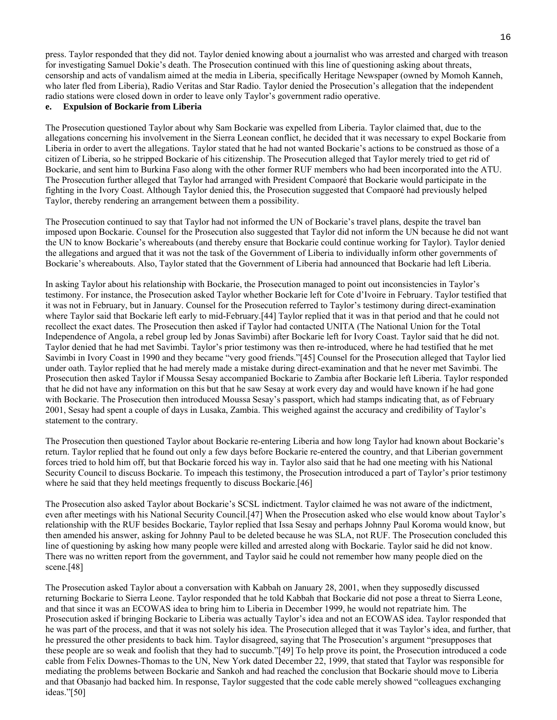press. Taylor responded that they did not. Taylor denied knowing about a journalist who was arrested and charged with treason for investigating Samuel Dokie's death. The Prosecution continued with this line of questioning asking about threats, censorship and acts of vandalism aimed at the media in Liberia, specifically Heritage Newspaper (owned by Momoh Kanneh, who later fled from Liberia), Radio Veritas and Star Radio. Taylor denied the Prosecution's allegation that the independent radio stations were closed down in order to leave only Taylor's government radio operative.

## **e. Expulsion of Bockarie from Liberia**

The Prosecution questioned Taylor about why Sam Bockarie was expelled from Liberia. Taylor claimed that, due to the allegations concerning his involvement in the Sierra Leonean conflict, he decided that it was necessary to expel Bockarie from Liberia in order to avert the allegations. Taylor stated that he had not wanted Bockarie's actions to be construed as those of a citizen of Liberia, so he stripped Bockarie of his citizenship. The Prosecution alleged that Taylor merely tried to get rid of Bockarie, and sent him to Burkina Faso along with the other former RUF members who had been incorporated into the ATU. The Prosecution further alleged that Taylor had arranged with President Compaoré that Bockarie would participate in the fighting in the Ivory Coast. Although Taylor denied this, the Prosecution suggested that Compaoré had previously helped Taylor, thereby rendering an arrangement between them a possibility.

The Prosecution continued to say that Taylor had not informed the UN of Bockarie's travel plans, despite the travel ban imposed upon Bockarie. Counsel for the Prosecution also suggested that Taylor did not inform the UN because he did not want the UN to know Bockarie's whereabouts (and thereby ensure that Bockarie could continue working for Taylor). Taylor denied the allegations and argued that it was not the task of the Government of Liberia to individually inform other governments of Bockarie's whereabouts. Also, Taylor stated that the Government of Liberia had announced that Bockarie had left Liberia.

In asking Taylor about his relationship with Bockarie, the Prosecution managed to point out inconsistencies in Taylor's testimony. For instance, the Prosecution asked Taylor whether Bockarie left for Cote d'Ivoire in February. Taylor testified that it was not in February, but in January. Counsel for the Prosecution referred to Taylor's testimony during direct-examination where Taylor said that Bockarie left early to mid-February.[44] Taylor replied that it was in that period and that he could not recollect the exact dates. The Prosecution then asked if Taylor had contacted UNITA (The National Union for the Total Independence of Angola, a rebel group led by Jonas Savimbi) after Bockarie left for Ivory Coast. Taylor said that he did not. Taylor denied that he had met Savimbi. Taylor's prior testimony was then re-introduced, where he had testified that he met Savimbi in Ivory Coast in 1990 and they became "very good friends."[45] Counsel for the Prosecution alleged that Taylor lied under oath. Taylor replied that he had merely made a mistake during direct-examination and that he never met Savimbi. The Prosecution then asked Taylor if Moussa Sesay accompanied Bockarie to Zambia after Bockarie left Liberia. Taylor responded that he did not have any information on this but that he saw Sesay at work every day and would have known if he had gone with Bockarie. The Prosecution then introduced Moussa Sesay's passport, which had stamps indicating that, as of February 2001, Sesay had spent a couple of days in Lusaka, Zambia. This weighed against the accuracy and credibility of Taylor's statement to the contrary.

The Prosecution then questioned Taylor about Bockarie re-entering Liberia and how long Taylor had known about Bockarie's return. Taylor replied that he found out only a few days before Bockarie re-entered the country, and that Liberian government forces tried to hold him off, but that Bockarie forced his way in. Taylor also said that he had one meeting with his National Security Council to discuss Bockarie. To impeach this testimony, the Prosecution introduced a part of Taylor's prior testimony where he said that they held meetings frequently to discuss Bockarie.[46]

The Prosecution also asked Taylor about Bockarie's SCSL indictment. Taylor claimed he was not aware of the indictment, even after meetings with his National Security Council.[47] When the Prosecution asked who else would know about Taylor's relationship with the RUF besides Bockarie, Taylor replied that Issa Sesay and perhaps Johnny Paul Koroma would know, but then amended his answer, asking for Johnny Paul to be deleted because he was SLA, not RUF. The Prosecution concluded this line of questioning by asking how many people were killed and arrested along with Bockarie. Taylor said he did not know. There was no written report from the government, and Taylor said he could not remember how many people died on the scene.[48]

The Prosecution asked Taylor about a conversation with Kabbah on January 28, 2001, when they supposedly discussed returning Bockarie to Sierra Leone. Taylor responded that he told Kabbah that Bockarie did not pose a threat to Sierra Leone, and that since it was an ECOWAS idea to bring him to Liberia in December 1999, he would not repatriate him. The Prosecution asked if bringing Bockarie to Liberia was actually Taylor's idea and not an ECOWAS idea. Taylor responded that he was part of the process, and that it was not solely his idea. The Prosecution alleged that it was Taylor's idea, and further, that he pressured the other presidents to back him. Taylor disagreed, saying that The Prosecution's argument "presupposes that these people are so weak and foolish that they had to succumb."[49] To help prove its point, the Prosecution introduced a code cable from Felix Downes-Thomas to the UN, New York dated December 22, 1999, that stated that Taylor was responsible for mediating the problems between Bockarie and Sankoh and had reached the conclusion that Bockarie should move to Liberia and that Obasanjo had backed him. In response, Taylor suggested that the code cable merely showed "colleagues exchanging ideas."[50]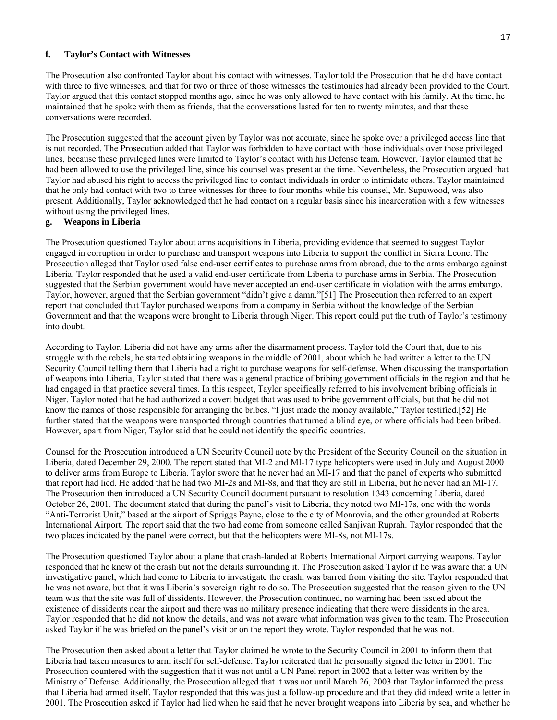#### **f. Taylor's Contact with Witnesses**

The Prosecution also confronted Taylor about his contact with witnesses. Taylor told the Prosecution that he did have contact with three to five witnesses, and that for two or three of those witnesses the testimonies had already been provided to the Court. Taylor argued that this contact stopped months ago, since he was only allowed to have contact with his family. At the time, he maintained that he spoke with them as friends, that the conversations lasted for ten to twenty minutes, and that these conversations were recorded.

The Prosecution suggested that the account given by Taylor was not accurate, since he spoke over a privileged access line that is not recorded. The Prosecution added that Taylor was forbidden to have contact with those individuals over those privileged lines, because these privileged lines were limited to Taylor's contact with his Defense team. However, Taylor claimed that he had been allowed to use the privileged line, since his counsel was present at the time. Nevertheless, the Prosecution argued that Taylor had abused his right to access the privileged line to contact individuals in order to intimidate others. Taylor maintained that he only had contact with two to three witnesses for three to four months while his counsel, Mr. Supuwood, was also present. Additionally, Taylor acknowledged that he had contact on a regular basis since his incarceration with a few witnesses without using the privileged lines.

#### **g. Weapons in Liberia**

The Prosecution questioned Taylor about arms acquisitions in Liberia, providing evidence that seemed to suggest Taylor engaged in corruption in order to purchase and transport weapons into Liberia to support the conflict in Sierra Leone. The Prosecution alleged that Taylor used false end-user certificates to purchase arms from abroad, due to the arms embargo against Liberia. Taylor responded that he used a valid end-user certificate from Liberia to purchase arms in Serbia. The Prosecution suggested that the Serbian government would have never accepted an end-user certificate in violation with the arms embargo. Taylor, however, argued that the Serbian government "didn't give a damn."[51] The Prosecution then referred to an expert report that concluded that Taylor purchased weapons from a company in Serbia without the knowledge of the Serbian Government and that the weapons were brought to Liberia through Niger. This report could put the truth of Taylor's testimony into doubt.

According to Taylor, Liberia did not have any arms after the disarmament process. Taylor told the Court that, due to his struggle with the rebels, he started obtaining weapons in the middle of 2001, about which he had written a letter to the UN Security Council telling them that Liberia had a right to purchase weapons for self-defense. When discussing the transportation of weapons into Liberia, Taylor stated that there was a general practice of bribing government officials in the region and that he had engaged in that practice several times. In this respect, Taylor specifically referred to his involvement bribing officials in Niger. Taylor noted that he had authorized a covert budget that was used to bribe government officials, but that he did not know the names of those responsible for arranging the bribes. "I just made the money available," Taylor testified.[52] He further stated that the weapons were transported through countries that turned a blind eye, or where officials had been bribed. However, apart from Niger, Taylor said that he could not identify the specific countries.

Counsel for the Prosecution introduced a UN Security Council note by the President of the Security Council on the situation in Liberia, dated December 29, 2000. The report stated that MI-2 and MI-17 type helicopters were used in July and August 2000 to deliver arms from Europe to Liberia. Taylor swore that he never had an MI-17 and that the panel of experts who submitted that report had lied. He added that he had two MI-2s and MI-8s, and that they are still in Liberia, but he never had an MI-17. The Prosecution then introduced a UN Security Council document pursuant to resolution 1343 concerning Liberia, dated October 26, 2001. The document stated that during the panel's visit to Liberia, they noted two MI-17s, one with the words "Anti-Terrorist Unit," based at the airport of Spriggs Payne, close to the city of Monrovia, and the other grounded at Roberts International Airport. The report said that the two had come from someone called Sanjivan Ruprah. Taylor responded that the two places indicated by the panel were correct, but that the helicopters were MI-8s, not MI-17s.

The Prosecution questioned Taylor about a plane that crash-landed at Roberts International Airport carrying weapons. Taylor responded that he knew of the crash but not the details surrounding it. The Prosecution asked Taylor if he was aware that a UN investigative panel, which had come to Liberia to investigate the crash, was barred from visiting the site. Taylor responded that he was not aware, but that it was Liberia's sovereign right to do so. The Prosecution suggested that the reason given to the UN team was that the site was full of dissidents. However, the Prosecution continued, no warning had been issued about the existence of dissidents near the airport and there was no military presence indicating that there were dissidents in the area. Taylor responded that he did not know the details, and was not aware what information was given to the team. The Prosecution asked Taylor if he was briefed on the panel's visit or on the report they wrote. Taylor responded that he was not.

The Prosecution then asked about a letter that Taylor claimed he wrote to the Security Council in 2001 to inform them that Liberia had taken measures to arm itself for self-defense. Taylor reiterated that he personally signed the letter in 2001. The Prosecution countered with the suggestion that it was not until a UN Panel report in 2002 that a letter was written by the Ministry of Defense. Additionally, the Prosecution alleged that it was not until March 26, 2003 that Taylor informed the press that Liberia had armed itself. Taylor responded that this was just a follow-up procedure and that they did indeed write a letter in 2001. The Prosecution asked if Taylor had lied when he said that he never brought weapons into Liberia by sea, and whether he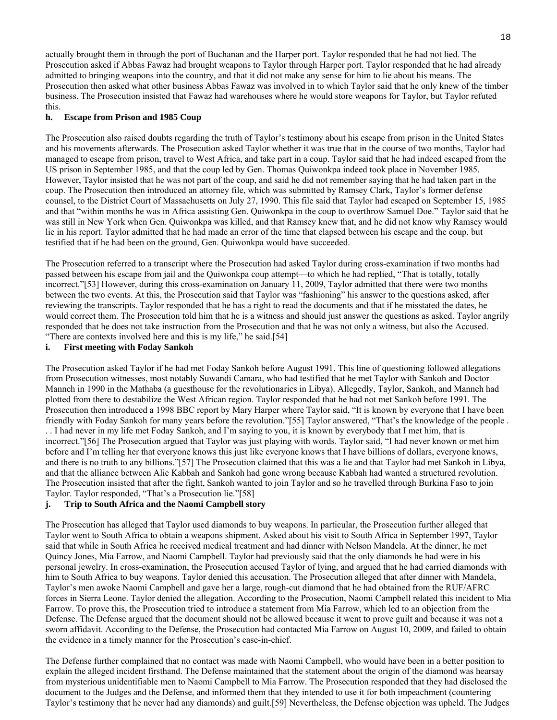actually brought them in through the port of Buchanan and the Harper port. Taylor responded that he had not lied. The Prosecution asked if Abbas Fawaz had brought weapons to Taylor through Harper port. Taylor responded that he had already admitted to bringing weapons into the country, and that it did not make any sense for him to lie about his means. The Prosecution then asked what other business Abbas Fawaz was involved in to which Taylor said that he only knew of the timber business. The Prosecution insisted that Fawaz had warehouses where he would store weapons for Taylor, but Taylor refuted this.

#### **h. Escape from Prison and 1985 Coup**

The Prosecution also raised doubts regarding the truth of Taylor's testimony about his escape from prison in the United States and his movements afterwards. The Prosecution asked Taylor whether it was true that in the course of two months, Taylor had managed to escape from prison, travel to West Africa, and take part in a coup. Taylor said that he had indeed escaped from the US prison in September 1985, and that the coup led by Gen. Thomas Quiwonkpa indeed took place in November 1985. However, Taylor insisted that he was not part of the coup, and said he did not remember saying that he had taken part in the coup. The Prosecution then introduced an attorney file, which was submitted by Ramsey Clark, Taylor's former defense counsel, to the District Court of Massachusetts on July 27, 1990. This file said that Taylor had escaped on September 15, 1985 and that "within months he was in Africa assisting Gen. Quiwonkpa in the coup to overthrow Samuel Doe." Taylor said that he was still in New York when Gen. Quiwonkpa was killed, and that Ramsey knew that, and he did not know why Ramsey would lie in his report. Taylor admitted that he had made an error of the time that elapsed between his escape and the coup, but testified that if he had been on the ground, Gen. Quiwonkpa would have succeeded.

The Prosecution referred to a transcript where the Prosecution had asked Taylor during cross-examination if two months had passed between his escape from jail and the Quiwonkpa coup attempt—to which he had replied, "That is totally, totally incorrect."[53] However, during this cross-examination on January 11, 2009, Taylor admitted that there were two months between the two events. At this, the Prosecution said that Taylor was "fashioning" his answer to the questions asked, after reviewing the transcripts. Taylor responded that he has a right to read the documents and that if he misstated the dates, he would correct them. The Prosecution told him that he is a witness and should just answer the questions as asked. Taylor angrily responded that he does not take instruction from the Prosecution and that he was not only a witness, but also the Accused. "There are contexts involved here and this is my life," he said.[54]

## **i. First meeting with Foday Sankoh**

The Prosecution asked Taylor if he had met Foday Sankoh before August 1991. This line of questioning followed allegations from Prosecution witnesses, most notably Suwandi Camara, who had testified that he met Taylor with Sankoh and Doctor Manneh in 1990 in the Mathaba (a guesthouse for the revolutionaries in Libya). Allegedly, Taylor, Sankoh, and Manneh had plotted from there to destabilize the West African region. Taylor responded that he had not met Sankoh before 1991. The Prosecution then introduced a 1998 BBC report by Mary Harper where Taylor said, "It is known by everyone that I have been friendly with Foday Sankoh for many years before the revolution."[55] Taylor answered, "That's the knowledge of the people . . . I had never in my life met Foday Sankoh, and I'm saying to you, it is known by everybody that I met him, that is incorrect."[56] The Prosecution argued that Taylor was just playing with words. Taylor said, "I had never known or met him before and I'm telling her that everyone knows this just like everyone knows that I have billions of dollars, everyone knows, and there is no truth to any billions."[57] The Prosecution claimed that this was a lie and that Taylor had met Sankoh in Libya, and that the alliance between Alie Kabbah and Sankoh had gone wrong because Kabbah had wanted a structured revolution. The Prosecution insisted that after the fight, Sankoh wanted to join Taylor and so he travelled through Burkina Faso to join Taylor. Taylor responded, "That's a Prosecution lie."[58]

## **j. Trip to South Africa and the Naomi Campbell story**

The Prosecution has alleged that Taylor used diamonds to buy weapons. In particular, the Prosecution further alleged that Taylor went to South Africa to obtain a weapons shipment. Asked about his visit to South Africa in September 1997, Taylor said that while in South Africa he received medical treatment and had dinner with Nelson Mandela. At the dinner, he met Quincy Jones, Mia Farrow, and Naomi Campbell. Taylor had previously said that the only diamonds he had were in his personal jewelry. In cross-examination, the Prosecution accused Taylor of lying, and argued that he had carried diamonds with him to South Africa to buy weapons. Taylor denied this accusation. The Prosecution alleged that after dinner with Mandela, Taylor's men awoke Naomi Campbell and gave her a large, rough-cut diamond that he had obtained from the RUF/AFRC forces in Sierra Leone. Taylor denied the allegation. According to the Prosecution, Naomi Campbell related this incident to Mia Farrow. To prove this, the Prosecution tried to introduce a statement from Mia Farrow, which led to an objection from the Defense. The Defense argued that the document should not be allowed because it went to prove guilt and because it was not a sworn affidavit. According to the Defense, the Prosecution had contacted Mia Farrow on August 10, 2009, and failed to obtain the evidence in a timely manner for the Prosecution's case-in-chief.

The Defense further complained that no contact was made with Naomi Campbell, who would have been in a better position to explain the alleged incident firsthand. The Defense maintained that the statement about the origin of the diamond was hearsay from mysterious unidentifiable men to Naomi Campbell to Mia Farrow. The Prosecution responded that they had disclosed the document to the Judges and the Defense, and informed them that they intended to use it for both impeachment (countering Taylor's testimony that he never had any diamonds) and guilt.[59] Nevertheless, the Defense objection was upheld. The Judges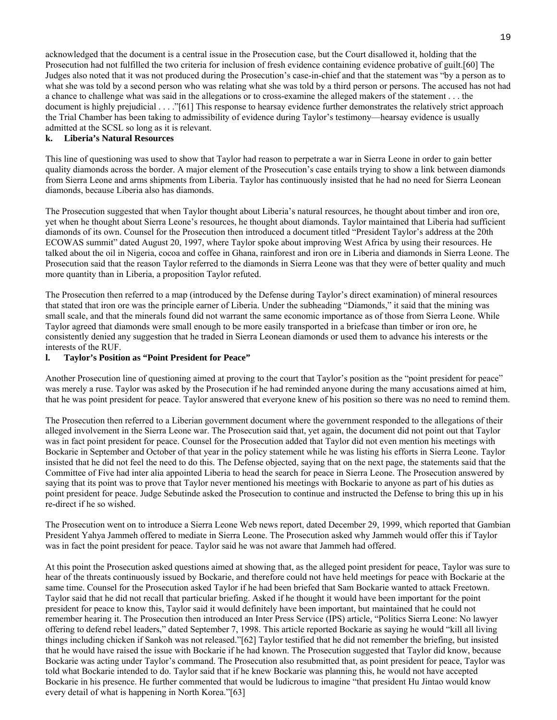acknowledged that the document is a central issue in the Prosecution case, but the Court disallowed it, holding that the Prosecution had not fulfilled the two criteria for inclusion of fresh evidence containing evidence probative of guilt.[60] The Judges also noted that it was not produced during the Prosecution's case-in-chief and that the statement was "by a person as to what she was told by a second person who was relating what she was told by a third person or persons. The accused has not had a chance to challenge what was said in the allegations or to cross-examine the alleged makers of the statement . . . the document is highly prejudicial . . . ."[61] This response to hearsay evidence further demonstrates the relatively strict approach the Trial Chamber has been taking to admissibility of evidence during Taylor's testimony—hearsay evidence is usually admitted at the SCSL so long as it is relevant.

#### **k. Liberia's Natural Resources**

This line of questioning was used to show that Taylor had reason to perpetrate a war in Sierra Leone in order to gain better quality diamonds across the border. A major element of the Prosecution's case entails trying to show a link between diamonds from Sierra Leone and arms shipments from Liberia. Taylor has continuously insisted that he had no need for Sierra Leonean diamonds, because Liberia also has diamonds.

The Prosecution suggested that when Taylor thought about Liberia's natural resources, he thought about timber and iron ore, yet when he thought about Sierra Leone's resources, he thought about diamonds. Taylor maintained that Liberia had sufficient diamonds of its own. Counsel for the Prosecution then introduced a document titled "President Taylor's address at the 20th ECOWAS summit" dated August 20, 1997, where Taylor spoke about improving West Africa by using their resources. He talked about the oil in Nigeria, cocoa and coffee in Ghana, rainforest and iron ore in Liberia and diamonds in Sierra Leone. The Prosecution said that the reason Taylor referred to the diamonds in Sierra Leone was that they were of better quality and much more quantity than in Liberia, a proposition Taylor refuted.

The Prosecution then referred to a map (introduced by the Defense during Taylor's direct examination) of mineral resources that stated that iron ore was the principle earner of Liberia. Under the subheading "Diamonds," it said that the mining was small scale, and that the minerals found did not warrant the same economic importance as of those from Sierra Leone. While Taylor agreed that diamonds were small enough to be more easily transported in a briefcase than timber or iron ore, he consistently denied any suggestion that he traded in Sierra Leonean diamonds or used them to advance his interests or the interests of the RUF.

#### **l. Taylor's Position as "Point President for Peace"**

Another Prosecution line of questioning aimed at proving to the court that Taylor's position as the "point president for peace" was merely a ruse. Taylor was asked by the Prosecution if he had reminded anyone during the many accusations aimed at him, that he was point president for peace. Taylor answered that everyone knew of his position so there was no need to remind them.

The Prosecution then referred to a Liberian government document where the government responded to the allegations of their alleged involvement in the Sierra Leone war. The Prosecution said that, yet again, the document did not point out that Taylor was in fact point president for peace. Counsel for the Prosecution added that Taylor did not even mention his meetings with Bockarie in September and October of that year in the policy statement while he was listing his efforts in Sierra Leone. Taylor insisted that he did not feel the need to do this. The Defense objected, saying that on the next page, the statements said that the Committee of Five had inter alia appointed Liberia to head the search for peace in Sierra Leone. The Prosecution answered by saying that its point was to prove that Taylor never mentioned his meetings with Bockarie to anyone as part of his duties as point president for peace. Judge Sebutinde asked the Prosecution to continue and instructed the Defense to bring this up in his re-direct if he so wished.

The Prosecution went on to introduce a Sierra Leone Web news report, dated December 29, 1999, which reported that Gambian President Yahya Jammeh offered to mediate in Sierra Leone. The Prosecution asked why Jammeh would offer this if Taylor was in fact the point president for peace. Taylor said he was not aware that Jammeh had offered.

At this point the Prosecution asked questions aimed at showing that, as the alleged point president for peace, Taylor was sure to hear of the threats continuously issued by Bockarie, and therefore could not have held meetings for peace with Bockarie at the same time. Counsel for the Prosecution asked Taylor if he had been briefed that Sam Bockarie wanted to attack Freetown. Taylor said that he did not recall that particular briefing. Asked if he thought it would have been important for the point president for peace to know this, Taylor said it would definitely have been important, but maintained that he could not remember hearing it. The Prosecution then introduced an Inter Press Service (IPS) article, "Politics Sierra Leone: No lawyer offering to defend rebel leaders," dated September 7, 1998. This article reported Bockarie as saying he would "kill all living things including chicken if Sankoh was not released."[62] Taylor testified that he did not remember the briefing, but insisted that he would have raised the issue with Bockarie if he had known. The Prosecution suggested that Taylor did know, because Bockarie was acting under Taylor's command. The Prosecution also resubmitted that, as point president for peace, Taylor was told what Bockarie intended to do. Taylor said that if he knew Bockarie was planning this, he would not have accepted Bockarie in his presence. He further commented that would be ludicrous to imagine "that president Hu Jintao would know every detail of what is happening in North Korea."[63]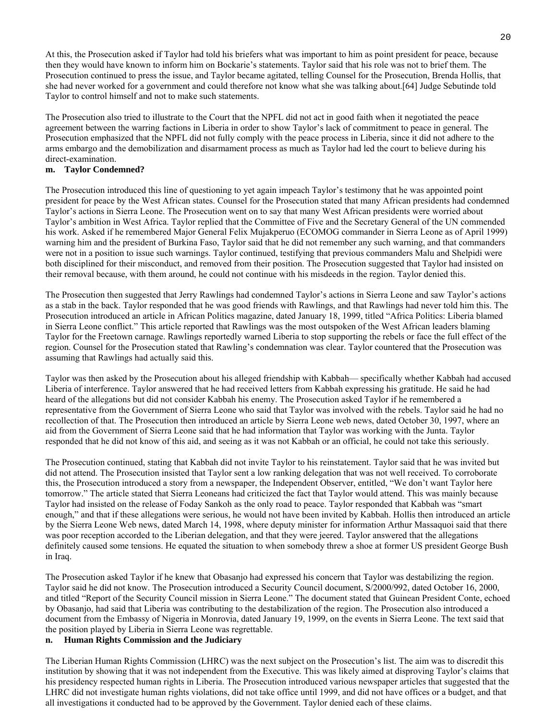At this, the Prosecution asked if Taylor had told his briefers what was important to him as point president for peace, because then they would have known to inform him on Bockarie's statements. Taylor said that his role was not to brief them. The Prosecution continued to press the issue, and Taylor became agitated, telling Counsel for the Prosecution, Brenda Hollis, that she had never worked for a government and could therefore not know what she was talking about.[64] Judge Sebutinde told Taylor to control himself and not to make such statements.

The Prosecution also tried to illustrate to the Court that the NPFL did not act in good faith when it negotiated the peace agreement between the warring factions in Liberia in order to show Taylor's lack of commitment to peace in general. The Prosecution emphasized that the NPFL did not fully comply with the peace process in Liberia, since it did not adhere to the arms embargo and the demobilization and disarmament process as much as Taylor had led the court to believe during his direct-examination.

#### **m. Taylor Condemned?**

The Prosecution introduced this line of questioning to yet again impeach Taylor's testimony that he was appointed point president for peace by the West African states. Counsel for the Prosecution stated that many African presidents had condemned Taylor's actions in Sierra Leone. The Prosecution went on to say that many West African presidents were worried about Taylor's ambition in West Africa. Taylor replied that the Committee of Five and the Secretary General of the UN commended his work. Asked if he remembered Major General Felix Mujakperuo (ECOMOG commander in Sierra Leone as of April 1999) warning him and the president of Burkina Faso, Taylor said that he did not remember any such warning, and that commanders were not in a position to issue such warnings. Taylor continued, testifying that previous commanders Malu and Shelpidi were both disciplined for their misconduct, and removed from their position. The Prosecution suggested that Taylor had insisted on their removal because, with them around, he could not continue with his misdeeds in the region. Taylor denied this.

The Prosecution then suggested that Jerry Rawlings had condemned Taylor's actions in Sierra Leone and saw Taylor's actions as a stab in the back. Taylor responded that he was good friends with Rawlings, and that Rawlings had never told him this. The Prosecution introduced an article in African Politics magazine, dated January 18, 1999, titled "Africa Politics: Liberia blamed in Sierra Leone conflict." This article reported that Rawlings was the most outspoken of the West African leaders blaming Taylor for the Freetown carnage. Rawlings reportedly warned Liberia to stop supporting the rebels or face the full effect of the region. Counsel for the Prosecution stated that Rawling's condemnation was clear. Taylor countered that the Prosecution was assuming that Rawlings had actually said this.

Taylor was then asked by the Prosecution about his alleged friendship with Kabbah— specifically whether Kabbah had accused Liberia of interference. Taylor answered that he had received letters from Kabbah expressing his gratitude. He said he had heard of the allegations but did not consider Kabbah his enemy. The Prosecution asked Taylor if he remembered a representative from the Government of Sierra Leone who said that Taylor was involved with the rebels. Taylor said he had no recollection of that. The Prosecution then introduced an article by Sierra Leone web news, dated October 30, 1997, where an aid from the Government of Sierra Leone said that he had information that Taylor was working with the Junta. Taylor responded that he did not know of this aid, and seeing as it was not Kabbah or an official, he could not take this seriously.

The Prosecution continued, stating that Kabbah did not invite Taylor to his reinstatement. Taylor said that he was invited but did not attend. The Prosecution insisted that Taylor sent a low ranking delegation that was not well received. To corroborate this, the Prosecution introduced a story from a newspaper, the Independent Observer, entitled, "We don't want Taylor here tomorrow." The article stated that Sierra Leoneans had criticized the fact that Taylor would attend. This was mainly because Taylor had insisted on the release of Foday Sankoh as the only road to peace. Taylor responded that Kabbah was "smart enough," and that if these allegations were serious, he would not have been invited by Kabbah. Hollis then introduced an article by the Sierra Leone Web news, dated March 14, 1998, where deputy minister for information Arthur Massaquoi said that there was poor reception accorded to the Liberian delegation, and that they were jeered. Taylor answered that the allegations definitely caused some tensions. He equated the situation to when somebody threw a shoe at former US president George Bush in Iraq.

The Prosecution asked Taylor if he knew that Obasanjo had expressed his concern that Taylor was destabilizing the region. Taylor said he did not know. The Prosecution introduced a Security Council document, S/2000/992, dated October 16, 2000, and titled "Report of the Security Council mission in Sierra Leone." The document stated that Guinean President Conte, echoed by Obasanjo, had said that Liberia was contributing to the destabilization of the region. The Prosecution also introduced a document from the Embassy of Nigeria in Monrovia, dated January 19, 1999, on the events in Sierra Leone. The text said that the position played by Liberia in Sierra Leone was regrettable.

## **n. Human Rights Commission and the Judiciary**

The Liberian Human Rights Commission (LHRC) was the next subject on the Prosecution's list. The aim was to discredit this institution by showing that it was not independent from the Executive. This was likely aimed at disproving Taylor's claims that his presidency respected human rights in Liberia. The Prosecution introduced various newspaper articles that suggested that the LHRC did not investigate human rights violations, did not take office until 1999, and did not have offices or a budget, and that all investigations it conducted had to be approved by the Government. Taylor denied each of these claims.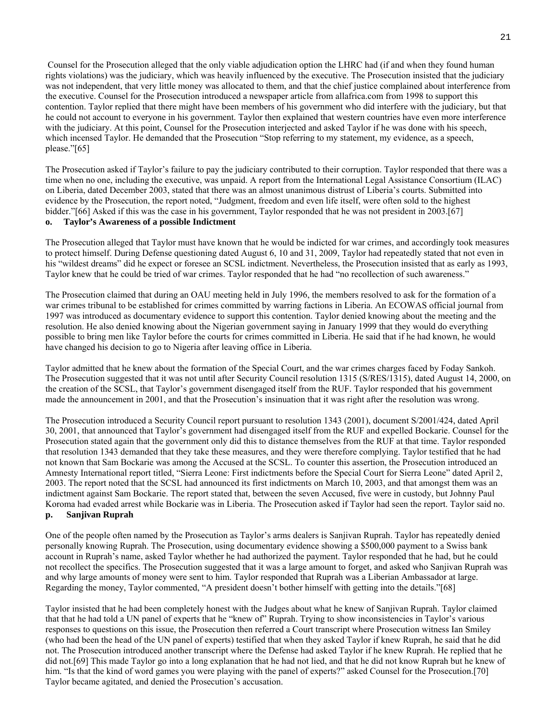Counsel for the Prosecution alleged that the only viable adjudication option the LHRC had (if and when they found human rights violations) was the judiciary, which was heavily influenced by the executive. The Prosecution insisted that the judiciary was not independent, that very little money was allocated to them, and that the chief justice complained about interference from the executive. Counsel for the Prosecution introduced a newspaper article from allafrica.com from 1998 to support this contention. Taylor replied that there might have been members of his government who did interfere with the judiciary, but that he could not account to everyone in his government. Taylor then explained that western countries have even more interference with the judiciary. At this point, Counsel for the Prosecution interjected and asked Taylor if he was done with his speech, which incensed Taylor. He demanded that the Prosecution "Stop referring to my statement, my evidence, as a speech, please."[65]

The Prosecution asked if Taylor's failure to pay the judiciary contributed to their corruption. Taylor responded that there was a time when no one, including the executive, was unpaid. A report from the International Legal Assistance Consortium (ILAC) on Liberia, dated December 2003, stated that there was an almost unanimous distrust of Liberia's courts. Submitted into evidence by the Prosecution, the report noted, "Judgment, freedom and even life itself, were often sold to the highest bidder."[66] Asked if this was the case in his government, Taylor responded that he was not president in 2003.[67]

## **o. Taylor's Awareness of a possible Indictment**

The Prosecution alleged that Taylor must have known that he would be indicted for war crimes, and accordingly took measures to protect himself. During Defense questioning dated August 6, 10 and 31, 2009, Taylor had repeatedly stated that not even in his "wildest dreams" did he expect or foresee an SCSL indictment. Nevertheless, the Prosecution insisted that as early as 1993, Taylor knew that he could be tried of war crimes. Taylor responded that he had "no recollection of such awareness."

The Prosecution claimed that during an OAU meeting held in July 1996, the members resolved to ask for the formation of a war crimes tribunal to be established for crimes committed by warring factions in Liberia. An ECOWAS official journal from 1997 was introduced as documentary evidence to support this contention. Taylor denied knowing about the meeting and the resolution. He also denied knowing about the Nigerian government saying in January 1999 that they would do everything possible to bring men like Taylor before the courts for crimes committed in Liberia. He said that if he had known, he would have changed his decision to go to Nigeria after leaving office in Liberia.

Taylor admitted that he knew about the formation of the Special Court, and the war crimes charges faced by Foday Sankoh. The Prosecution suggested that it was not until after Security Council resolution 1315 (S/RES/1315), dated August 14, 2000, on the creation of the SCSL, that Taylor's government disengaged itself from the RUF. Taylor responded that his government made the announcement in 2001, and that the Prosecution's insinuation that it was right after the resolution was wrong.

The Prosecution introduced a Security Council report pursuant to resolution 1343 (2001), document S/2001/424, dated April 30, 2001, that announced that Taylor's government had disengaged itself from the RUF and expelled Bockarie. Counsel for the Prosecution stated again that the government only did this to distance themselves from the RUF at that time. Taylor responded that resolution 1343 demanded that they take these measures, and they were therefore complying. Taylor testified that he had not known that Sam Bockarie was among the Accused at the SCSL. To counter this assertion, the Prosecution introduced an Amnesty International report titled, "Sierra Leone: First indictments before the Special Court for Sierra Leone" dated April 2, 2003. The report noted that the SCSL had announced its first indictments on March 10, 2003, and that amongst them was an indictment against Sam Bockarie. The report stated that, between the seven Accused, five were in custody, but Johnny Paul Koroma had evaded arrest while Bockarie was in Liberia. The Prosecution asked if Taylor had seen the report. Taylor said no. **p. Sanjivan Ruprah** 

One of the people often named by the Prosecution as Taylor's arms dealers is Sanjivan Ruprah. Taylor has repeatedly denied personally knowing Ruprah. The Prosecution, using documentary evidence showing a \$500,000 payment to a Swiss bank account in Ruprah's name, asked Taylor whether he had authorized the payment. Taylor responded that he had, but he could not recollect the specifics. The Prosecution suggested that it was a large amount to forget, and asked who Sanjivan Ruprah was and why large amounts of money were sent to him. Taylor responded that Ruprah was a Liberian Ambassador at large. Regarding the money, Taylor commented, "A president doesn't bother himself with getting into the details."[68]

Taylor insisted that he had been completely honest with the Judges about what he knew of Sanjivan Ruprah. Taylor claimed that that he had told a UN panel of experts that he "knew of" Ruprah. Trying to show inconsistencies in Taylor's various responses to questions on this issue, the Prosecution then referred a Court transcript where Prosecution witness Ian Smiley (who had been the head of the UN panel of experts) testified that when they asked Taylor if knew Ruprah, he said that he did not. The Prosecution introduced another transcript where the Defense had asked Taylor if he knew Ruprah. He replied that he did not.[69] This made Taylor go into a long explanation that he had not lied, and that he did not know Ruprah but he knew of him. "Is that the kind of word games you were playing with the panel of experts?" asked Counsel for the Prosecution.[70] Taylor became agitated, and denied the Prosecution's accusation.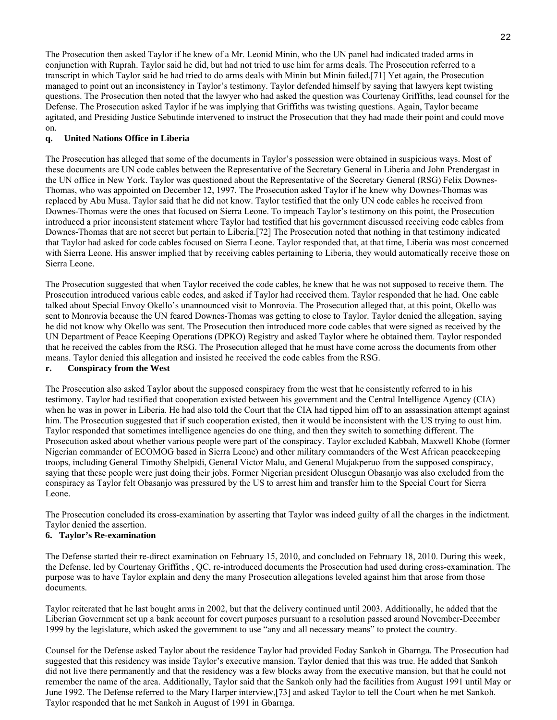The Prosecution then asked Taylor if he knew of a Mr. Leonid Minin, who the UN panel had indicated traded arms in conjunction with Ruprah. Taylor said he did, but had not tried to use him for arms deals. The Prosecution referred to a transcript in which Taylor said he had tried to do arms deals with Minin but Minin failed.[71] Yet again, the Prosecution managed to point out an inconsistency in Taylor's testimony. Taylor defended himself by saying that lawyers kept twisting questions. The Prosecution then noted that the lawyer who had asked the question was Courtenay Griffiths, lead counsel for the Defense. The Prosecution asked Taylor if he was implying that Griffiths was twisting questions. Again, Taylor became agitated, and Presiding Justice Sebutinde intervened to instruct the Prosecution that they had made their point and could move on.

## **q. United Nations Office in Liberia**

The Prosecution has alleged that some of the documents in Taylor's possession were obtained in suspicious ways. Most of these documents are UN code cables between the Representative of the Secretary General in Liberia and John Prendergast in the UN office in New York. Taylor was questioned about the Representative of the Secretary General (RSG) Felix Downes-Thomas, who was appointed on December 12, 1997. The Prosecution asked Taylor if he knew why Downes-Thomas was replaced by Abu Musa. Taylor said that he did not know. Taylor testified that the only UN code cables he received from Downes-Thomas were the ones that focused on Sierra Leone. To impeach Taylor's testimony on this point, the Prosecution introduced a prior inconsistent statement where Taylor had testified that his government discussed receiving code cables from Downes-Thomas that are not secret but pertain to Liberia.[72] The Prosecution noted that nothing in that testimony indicated that Taylor had asked for code cables focused on Sierra Leone. Taylor responded that, at that time, Liberia was most concerned with Sierra Leone. His answer implied that by receiving cables pertaining to Liberia, they would automatically receive those on Sierra Leone.

The Prosecution suggested that when Taylor received the code cables, he knew that he was not supposed to receive them. The Prosecution introduced various cable codes, and asked if Taylor had received them. Taylor responded that he had. One cable talked about Special Envoy Okello's unannounced visit to Monrovia. The Prosecution alleged that, at this point, Okello was sent to Monrovia because the UN feared Downes-Thomas was getting to close to Taylor. Taylor denied the allegation, saying he did not know why Okello was sent. The Prosecution then introduced more code cables that were signed as received by the UN Department of Peace Keeping Operations (DPKO) Registry and asked Taylor where he obtained them. Taylor responded that he received the cables from the RSG. The Prosecution alleged that he must have come across the documents from other means. Taylor denied this allegation and insisted he received the code cables from the RSG.

## **r. Conspiracy from the West**

The Prosecution also asked Taylor about the supposed conspiracy from the west that he consistently referred to in his testimony. Taylor had testified that cooperation existed between his government and the Central Intelligence Agency (CIA) when he was in power in Liberia. He had also told the Court that the CIA had tipped him off to an assassination attempt against him. The Prosecution suggested that if such cooperation existed, then it would be inconsistent with the US trying to oust him. Taylor responded that sometimes intelligence agencies do one thing, and then they switch to something different. The Prosecution asked about whether various people were part of the conspiracy. Taylor excluded Kabbah, Maxwell Khobe (former Nigerian commander of ECOMOG based in Sierra Leone) and other military commanders of the West African peacekeeping troops, including General Timothy Shelpidi, General Victor Malu, and General Mujakperuo from the supposed conspiracy, saying that these people were just doing their jobs. Former Nigerian president Olusegun Obasanjo was also excluded from the conspiracy as Taylor felt Obasanjo was pressured by the US to arrest him and transfer him to the Special Court for Sierra Leone.

The Prosecution concluded its cross-examination by asserting that Taylor was indeed guilty of all the charges in the indictment. Taylor denied the assertion.

## **6. Taylor's Re-examination**

The Defense started their re-direct examination on February 15, 2010, and concluded on February 18, 2010. During this week, the Defense, led by Courtenay Griffiths , QC, re-introduced documents the Prosecution had used during cross-examination. The purpose was to have Taylor explain and deny the many Prosecution allegations leveled against him that arose from those documents.

Taylor reiterated that he last bought arms in 2002, but that the delivery continued until 2003. Additionally, he added that the Liberian Government set up a bank account for covert purposes pursuant to a resolution passed around November-December 1999 by the legislature, which asked the government to use "any and all necessary means" to protect the country.

Counsel for the Defense asked Taylor about the residence Taylor had provided Foday Sankoh in Gbarnga. The Prosecution had suggested that this residency was inside Taylor's executive mansion. Taylor denied that this was true. He added that Sankoh did not live there permanently and that the residency was a few blocks away from the executive mansion, but that he could not remember the name of the area. Additionally, Taylor said that the Sankoh only had the facilities from August 1991 until May or June 1992. The Defense referred to the Mary Harper interview,[73] and asked Taylor to tell the Court when he met Sankoh. Taylor responded that he met Sankoh in August of 1991 in Gbarnga.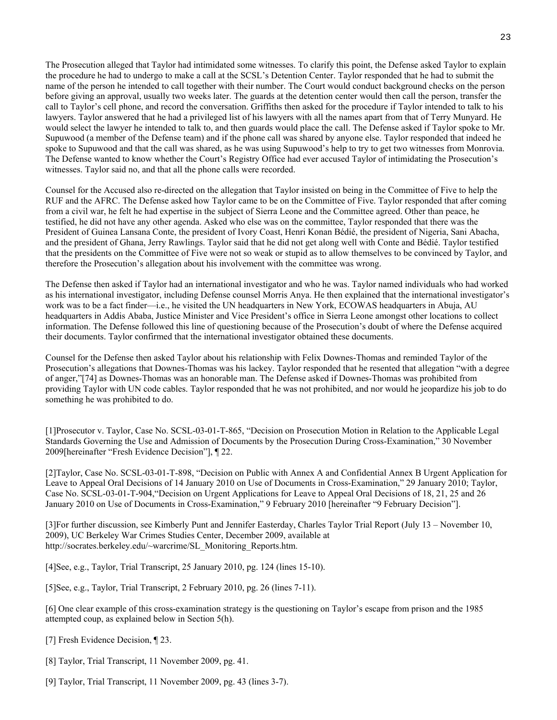The Prosecution alleged that Taylor had intimidated some witnesses. To clarify this point, the Defense asked Taylor to explain the procedure he had to undergo to make a call at the SCSL's Detention Center. Taylor responded that he had to submit the name of the person he intended to call together with their number. The Court would conduct background checks on the person before giving an approval, usually two weeks later. The guards at the detention center would then call the person, transfer the call to Taylor's cell phone, and record the conversation. Griffiths then asked for the procedure if Taylor intended to talk to his lawyers. Taylor answered that he had a privileged list of his lawyers with all the names apart from that of Terry Munyard. He would select the lawyer he intended to talk to, and then guards would place the call. The Defense asked if Taylor spoke to Mr. Supuwood (a member of the Defense team) and if the phone call was shared by anyone else. Taylor responded that indeed he spoke to Supuwood and that the call was shared, as he was using Supuwood's help to try to get two witnesses from Monrovia. The Defense wanted to know whether the Court's Registry Office had ever accused Taylor of intimidating the Prosecution's witnesses. Taylor said no, and that all the phone calls were recorded.

Counsel for the Accused also re-directed on the allegation that Taylor insisted on being in the Committee of Five to help the RUF and the AFRC. The Defense asked how Taylor came to be on the Committee of Five. Taylor responded that after coming from a civil war, he felt he had expertise in the subject of Sierra Leone and the Committee agreed. Other than peace, he testified, he did not have any other agenda. Asked who else was on the committee, Taylor responded that there was the President of Guinea Lansana Conte, the president of Ivory Coast, Henri Konan Bédié, the president of Nigeria, Sani Abacha, and the president of Ghana, Jerry Rawlings. Taylor said that he did not get along well with Conte and Bédié. Taylor testified that the presidents on the Committee of Five were not so weak or stupid as to allow themselves to be convinced by Taylor, and therefore the Prosecution's allegation about his involvement with the committee was wrong.

The Defense then asked if Taylor had an international investigator and who he was. Taylor named individuals who had worked as his international investigator, including Defense counsel Morris Anya. He then explained that the international investigator's work was to be a fact finder—i.e., he visited the UN headquarters in New York, ECOWAS headquarters in Abuja, AU headquarters in Addis Ababa, Justice Minister and Vice President's office in Sierra Leone amongst other locations to collect information. The Defense followed this line of questioning because of the Prosecution's doubt of where the Defense acquired their documents. Taylor confirmed that the international investigator obtained these documents.

Counsel for the Defense then asked Taylor about his relationship with Felix Downes-Thomas and reminded Taylor of the Prosecution's allegations that Downes-Thomas was his lackey. Taylor responded that he resented that allegation "with a degree of anger,"[74] as Downes-Thomas was an honorable man. The Defense asked if Downes-Thomas was prohibited from providing Taylor with UN code cables. Taylor responded that he was not prohibited, and nor would he jeopardize his job to do something he was prohibited to do.

[1]Prosecutor v. Taylor, Case No. SCSL-03-01-T-865, "Decision on Prosecution Motion in Relation to the Applicable Legal Standards Governing the Use and Admission of Documents by the Prosecution During Cross-Examination," 30 November 2009[hereinafter "Fresh Evidence Decision"], ¶ 22.

[2]Taylor, Case No. SCSL-03-01-T-898, "Decision on Public with Annex A and Confidential Annex B Urgent Application for Leave to Appeal Oral Decisions of 14 January 2010 on Use of Documents in Cross-Examination," 29 January 2010; Taylor, Case No. SCSL-03-01-T-904,"Decision on Urgent Applications for Leave to Appeal Oral Decisions of 18, 21, 25 and 26 January 2010 on Use of Documents in Cross-Examination," 9 February 2010 [hereinafter "9 February Decision"].

[3]For further discussion, see Kimberly Punt and Jennifer Easterday, Charles Taylor Trial Report (July 13 – November 10, 2009), UC Berkeley War Crimes Studies Center, December 2009, available at http://socrates.berkeley.edu/~warcrime/SL\_Monitoring\_Reports.htm.

[4]See, e.g., Taylor, Trial Transcript, 25 January 2010, pg. 124 (lines 15-10).

[5]See, e.g., Taylor, Trial Transcript, 2 February 2010, pg. 26 (lines 7-11).

[6] One clear example of this cross-examination strategy is the questioning on Taylor's escape from prison and the 1985 attempted coup, as explained below in Section 5(h).

[7] Fresh Evidence Decision, ¶ 23.

[8] Taylor, Trial Transcript, 11 November 2009, pg. 41.

[9] Taylor, Trial Transcript, 11 November 2009, pg. 43 (lines 3-7).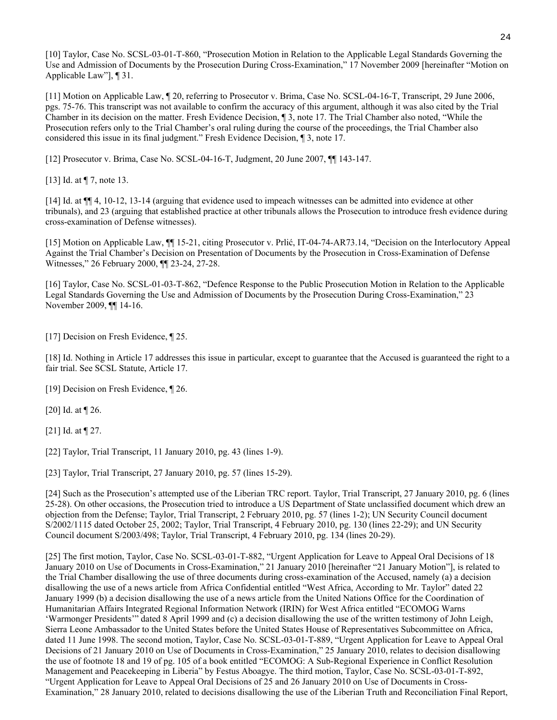[10] Taylor, Case No. SCSL-03-01-T-860, "Prosecution Motion in Relation to the Applicable Legal Standards Governing the Use and Admission of Documents by the Prosecution During Cross-Examination," 17 November 2009 [hereinafter "Motion on Applicable Law"], ¶ 31.

[11] Motion on Applicable Law, ¶ 20, referring to Prosecutor v. Brima, Case No. SCSL-04-16-T, Transcript, 29 June 2006, pgs. 75-76. This transcript was not available to confirm the accuracy of this argument, although it was also cited by the Trial Chamber in its decision on the matter. Fresh Evidence Decision, ¶ 3, note 17. The Trial Chamber also noted, "While the Prosecution refers only to the Trial Chamber's oral ruling during the course of the proceedings, the Trial Chamber also considered this issue in its final judgment." Fresh Evidence Decision, ¶ 3, note 17.

[12] Prosecutor v. Brima, Case No. SCSL-04-16-T, Judgment, 20 June 2007, ¶¶ 143-147.

[13] Id. at  $\P$  7, note 13.

[14] Id. at ¶¶ 4, 10-12, 13-14 (arguing that evidence used to impeach witnesses can be admitted into evidence at other tribunals), and 23 (arguing that established practice at other tribunals allows the Prosecution to introduce fresh evidence during cross-examination of Defense witnesses).

[15] Motion on Applicable Law, ¶¶ 15-21, citing Prosecutor v. Prlić, IT-04-74-AR73.14, "Decision on the Interlocutory Appeal Against the Trial Chamber's Decision on Presentation of Documents by the Prosecution in Cross-Examination of Defense Witnesses," 26 February 2000, ¶¶ 23-24, 27-28.

[16] Taylor, Case No. SCSL-01-03-T-862, "Defence Response to the Public Prosecution Motion in Relation to the Applicable Legal Standards Governing the Use and Admission of Documents by the Prosecution During Cross-Examination," 23 November 2009, ¶¶ 14-16.

[17] Decision on Fresh Evidence, 125.

[18] Id. Nothing in Article 17 addresses this issue in particular, except to guarantee that the Accused is guaranteed the right to a fair trial. See SCSL Statute, Article 17.

[19] Decision on Fresh Evidence, 126.

[20] Id. at ¶ 26.

[21] Id. at **[27.]** 

[22] Taylor, Trial Transcript, 11 January 2010, pg. 43 (lines 1-9).

[23] Taylor, Trial Transcript, 27 January 2010, pg. 57 (lines 15-29).

[24] Such as the Prosecution's attempted use of the Liberian TRC report. Taylor, Trial Transcript, 27 January 2010, pg. 6 (lines 25-28). On other occasions, the Prosecution tried to introduce a US Department of State unclassified document which drew an objection from the Defense; Taylor, Trial Transcript, 2 February 2010, pg. 57 (lines 1-2); UN Security Council document S/2002/1115 dated October 25, 2002; Taylor, Trial Transcript, 4 February 2010, pg. 130 (lines 22-29); and UN Security Council document S/2003/498; Taylor, Trial Transcript, 4 February 2010, pg. 134 (lines 20-29).

[25] The first motion, Taylor, Case No. SCSL-03-01-T-882, "Urgent Application for Leave to Appeal Oral Decisions of 18 January 2010 on Use of Documents in Cross-Examination," 21 January 2010 [hereinafter "21 January Motion"], is related to the Trial Chamber disallowing the use of three documents during cross-examination of the Accused, namely (a) a decision disallowing the use of a news article from Africa Confidential entitled "West Africa, According to Mr. Taylor" dated 22 January 1999 (b) a decision disallowing the use of a news article from the United Nations Office for the Coordination of Humanitarian Affairs Integrated Regional Information Network (IRIN) for West Africa entitled "ECOMOG Warns 'Warmonger Presidents'" dated 8 April 1999 and (c) a decision disallowing the use of the written testimony of John Leigh, Sierra Leone Ambassador to the United States before the United States House of Representatives Subcommittee on Africa, dated 11 June 1998. The second motion, Taylor, Case No. SCSL-03-01-T-889, "Urgent Application for Leave to Appeal Oral Decisions of 21 January 2010 on Use of Documents in Cross-Examination," 25 January 2010, relates to decision disallowing the use of footnote 18 and 19 of pg. 105 of a book entitled "ECOMOG: A Sub-Regional Experience in Conflict Resolution Management and Peacekeeping in Liberia" by Festus Aboagye. The third motion, Taylor, Case No. SCSL-03-01-T-892, "Urgent Application for Leave to Appeal Oral Decisions of 25 and 26 January 2010 on Use of Documents in Cross-Examination," 28 January 2010, related to decisions disallowing the use of the Liberian Truth and Reconciliation Final Report,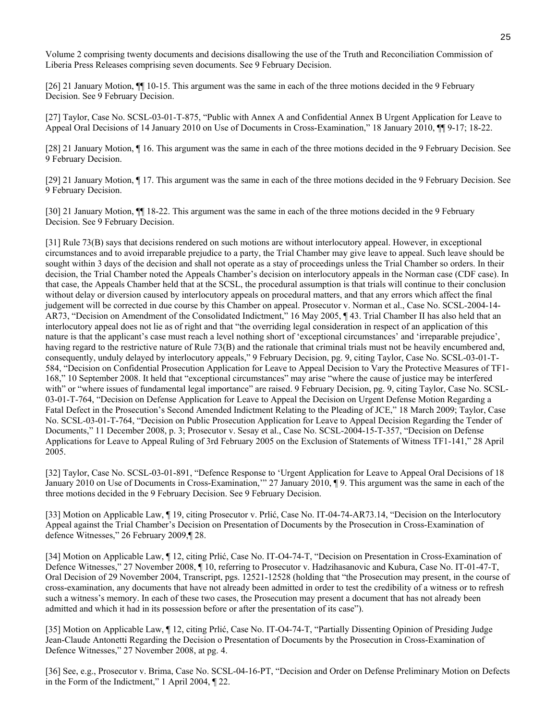Volume 2 comprising twenty documents and decisions disallowing the use of the Truth and Reconciliation Commission of Liberia Press Releases comprising seven documents. See 9 February Decision.

[26] 21 January Motion, ¶¶ 10-15. This argument was the same in each of the three motions decided in the 9 February Decision. See 9 February Decision.

[27] Taylor, Case No. SCSL-03-01-T-875, "Public with Annex A and Confidential Annex B Urgent Application for Leave to Appeal Oral Decisions of 14 January 2010 on Use of Documents in Cross-Examination," 18 January 2010, ¶¶ 9-17; 18-22.

[28] 21 January Motion, ¶ 16. This argument was the same in each of the three motions decided in the 9 February Decision. See 9 February Decision.

[29] 21 January Motion, ¶ 17. This argument was the same in each of the three motions decided in the 9 February Decision. See 9 February Decision.

[30] 21 January Motion, ¶¶ 18-22. This argument was the same in each of the three motions decided in the 9 February Decision. See 9 February Decision.

[31] Rule 73(B) says that decisions rendered on such motions are without interlocutory appeal. However, in exceptional circumstances and to avoid irreparable prejudice to a party, the Trial Chamber may give leave to appeal. Such leave should be sought within 3 days of the decision and shall not operate as a stay of proceedings unless the Trial Chamber so orders. In their decision, the Trial Chamber noted the Appeals Chamber's decision on interlocutory appeals in the Norman case (CDF case). In that case, the Appeals Chamber held that at the SCSL, the procedural assumption is that trials will continue to their conclusion without delay or diversion caused by interlocutory appeals on procedural matters, and that any errors which affect the final judgement will be corrected in due course by this Chamber on appeal. Prosecutor v. Norman et al., Case No. SCSL-2004-14- AR73, "Decision on Amendment of the Consolidated Indictment," 16 May 2005, ¶ 43. Trial Chamber II has also held that an interlocutory appeal does not lie as of right and that "the overriding legal consideration in respect of an application of this nature is that the applicant's case must reach a level nothing short of 'exceptional circumstances' and 'irreparable prejudice', having regard to the restrictive nature of Rule 73(B) and the rationale that criminal trials must not be heavily encumbered and, consequently, unduly delayed by interlocutory appeals," 9 February Decision, pg. 9, citing Taylor, Case No. SCSL-03-01-T-584, "Decision on Confidential Prosecution Application for Leave to Appeal Decision to Vary the Protective Measures of TF1- 168," 10 September 2008. It held that "exceptional circumstances" may arise "where the cause of justice may be interfered with" or "where issues of fundamental legal importance" are raised. 9 February Decision, pg. 9, citing Taylor, Case No. SCSL-03-01-T-764, "Decision on Defense Application for Leave to Appeal the Decision on Urgent Defense Motion Regarding a Fatal Defect in the Prosecution's Second Amended Indictment Relating to the Pleading of JCE," 18 March 2009; Taylor, Case No. SCSL-03-01-T-764, "Decision on Public Prosecution Application for Leave to Appeal Decision Regarding the Tender of Documents," 11 December 2008, p. 3; Prosecutor v. Sesay et al., Case No. SCSL-2004-15-T-357, "Decision on Defense Applications for Leave to Appeal Ruling of 3rd February 2005 on the Exclusion of Statements of Witness TF1-141," 28 April 2005.

[32] Taylor, Case No. SCSL-03-01-891, "Defence Response to 'Urgent Application for Leave to Appeal Oral Decisions of 18 January 2010 on Use of Documents in Cross-Examination,'" 27 January 2010, ¶ 9. This argument was the same in each of the three motions decided in the 9 February Decision. See 9 February Decision.

[33] Motion on Applicable Law, ¶ 19, citing Prosecutor v. Prlić, Case No. IT-04-74-AR73.14, "Decision on the Interlocutory Appeal against the Trial Chamber's Decision on Presentation of Documents by the Prosecution in Cross-Examination of defence Witnesses," 26 February 2009,¶ 28.

[34] Motion on Applicable Law, ¶ 12, citing Prlić, Case No. IT-O4-74-T, "Decision on Presentation in Cross-Examination of Defence Witnesses," 27 November 2008, ¶ 10, referring to Prosecutor v. Hadzihasanovic and Kubura, Case No. IT-01-47-T, Oral Decision of 29 November 2004, Transcript, pgs. 12521-12528 (holding that "the Prosecution may present, in the course of cross-examination, any documents that have not already been admitted in order to test the credibility of a witness or to refresh such a witness's memory. In each of these two cases, the Prosecution may present a document that has not already been admitted and which it had in its possession before or after the presentation of its case").

[35] Motion on Applicable Law, ¶ 12, citing Prlić, Case No. IT-O4-74-T, "Partially Dissenting Opinion of Presiding Judge Jean-Claude Antonetti Regarding the Decision o Presentation of Documents by the Prosecution in Cross-Examination of Defence Witnesses," 27 November 2008, at pg. 4.

[36] See, e.g., Prosecutor v. Brima, Case No. SCSL-04-16-PT, "Decision and Order on Defense Preliminary Motion on Defects in the Form of the Indictment," 1 April 2004, ¶ 22.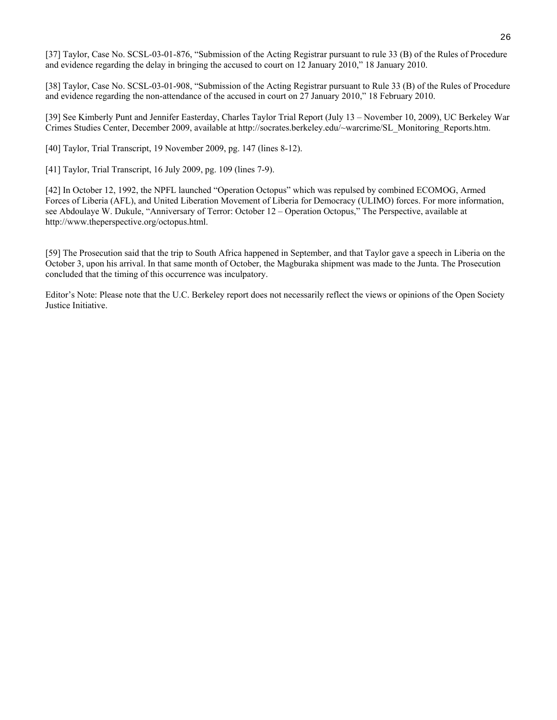[37] Taylor, Case No. SCSL-03-01-876, "Submission of the Acting Registrar pursuant to rule 33 (B) of the Rules of Procedure and evidence regarding the delay in bringing the accused to court on 12 January 2010," 18 January 2010.

[38] Taylor, Case No. SCSL-03-01-908, "Submission of the Acting Registrar pursuant to Rule 33 (B) of the Rules of Procedure and evidence regarding the non-attendance of the accused in court on 27 January 2010," 18 February 2010.

[39] See Kimberly Punt and Jennifer Easterday, Charles Taylor Trial Report (July 13 – November 10, 2009), UC Berkeley War Crimes Studies Center, December 2009, available at http://socrates.berkeley.edu/~warcrime/SL\_Monitoring\_Reports.htm.

[40] Taylor, Trial Transcript, 19 November 2009, pg. 147 (lines 8-12).

[41] Taylor, Trial Transcript, 16 July 2009, pg. 109 (lines 7-9).

[42] In October 12, 1992, the NPFL launched "Operation Octopus" which was repulsed by combined ECOMOG, Armed Forces of Liberia (AFL), and United Liberation Movement of Liberia for Democracy (ULIMO) forces. For more information, see Abdoulaye W. Dukule, "Anniversary of Terror: October 12 – Operation Octopus," The Perspective, available at http://www.theperspective.org/octopus.html.

[59] The Prosecution said that the trip to South Africa happened in September, and that Taylor gave a speech in Liberia on the October 3, upon his arrival. In that same month of October, the Magburaka shipment was made to the Junta. The Prosecution concluded that the timing of this occurrence was inculpatory.

Editor's Note: Please note that the U.C. Berkeley report does not necessarily reflect the views or opinions of the Open Society Justice Initiative.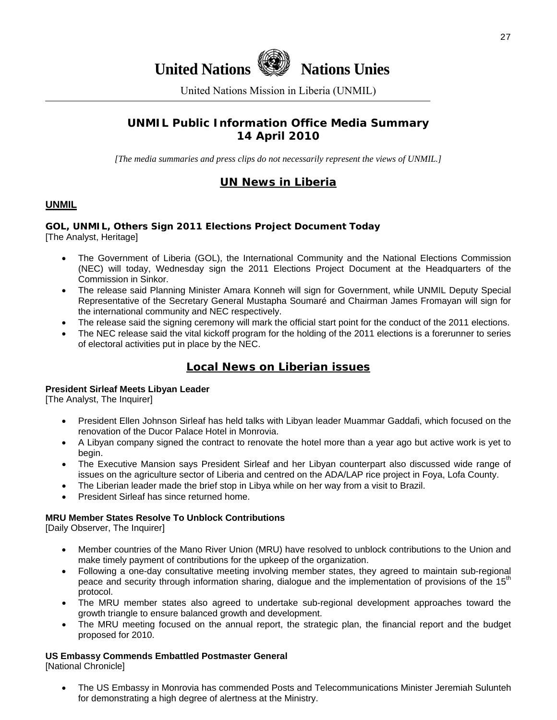



United Nations Mission in Liberia (UNMIL)

# **UNMIL Public Information Office Media Summary 14 April 2010**

*[The media summaries and press clips do not necessarily represent the views of UNMIL.]* 

# **UN News in Liberia**

## **UNMIL**

## **GOL, UNMIL, Others Sign 2011 Elections Project Document Today**  [The Analyst, Heritage]

- The Government of Liberia (GOL), the International Community and the National Elections Commission (NEC) will today, Wednesday sign the 2011 Elections Project Document at the Headquarters of the Commission in Sinkor.
- The release said Planning Minister Amara Konneh will sign for Government, while UNMIL Deputy Special Representative of the Secretary General Mustapha Soumaré and Chairman James Fromayan will sign for the international community and NEC respectively.
- The release said the signing ceremony will mark the official start point for the conduct of the 2011 elections.
- The NEC release said the vital kickoff program for the holding of the 2011 elections is a forerunner to series of electoral activities put in place by the NEC.

# **Local News on Liberian issues**

## **President Sirleaf Meets Libyan Leader**

[The Analyst, The Inquirer]

- President Ellen Johnson Sirleaf has held talks with Libyan leader Muammar Gaddafi, which focused on the renovation of the Ducor Palace Hotel in Monrovia.
- A Libyan company signed the contract to renovate the hotel more than a year ago but active work is yet to begin.
- The Executive Mansion says President Sirleaf and her Libyan counterpart also discussed wide range of issues on the agriculture sector of Liberia and centred on the ADA/LAP rice project in Foya, Lofa County.
- The Liberian leader made the brief stop in Libya while on her way from a visit to Brazil.
- President Sirleaf has since returned home.

## **MRU Member States Resolve To Unblock Contributions**

[Daily Observer, The Inquirer]

- Member countries of the Mano River Union (MRU) have resolved to unblock contributions to the Union and make timely payment of contributions for the upkeep of the organization.
- Following a one-day consultative meeting involving member states, they agreed to maintain sub-regional peace and security through information sharing, dialogue and the implementation of provisions of the 15<sup>th</sup> protocol.
- The MRU member states also agreed to undertake sub-regional development approaches toward the growth triangle to ensure balanced growth and development.
- The MRU meeting focused on the annual report, the strategic plan, the financial report and the budget proposed for 2010.

## **US Embassy Commends Embattled Postmaster General**

[National Chronicle]

• The US Embassy in Monrovia has commended Posts and Telecommunications Minister Jeremiah Sulunteh for demonstrating a high degree of alertness at the Ministry.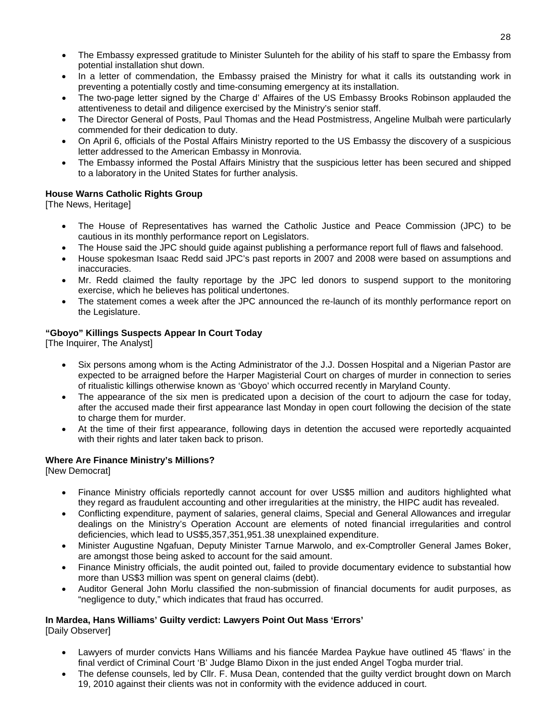- The Embassy expressed gratitude to Minister Sulunteh for the ability of his staff to spare the Embassy from potential installation shut down.
- In a letter of commendation, the Embassy praised the Ministry for what it calls its outstanding work in preventing a potentially costly and time-consuming emergency at its installation.
- The two-page letter signed by the Charge d' Affaires of the US Embassy Brooks Robinson applauded the attentiveness to detail and diligence exercised by the Ministry's senior staff.
- The Director General of Posts, Paul Thomas and the Head Postmistress, Angeline Mulbah were particularly commended for their dedication to duty.
- On April 6, officials of the Postal Affairs Ministry reported to the US Embassy the discovery of a suspicious letter addressed to the American Embassy in Monrovia.
- The Embassy informed the Postal Affairs Ministry that the suspicious letter has been secured and shipped to a laboratory in the United States for further analysis.

## **House Warns Catholic Rights Group**

[The News, Heritage]

- The House of Representatives has warned the Catholic Justice and Peace Commission (JPC) to be cautious in its monthly performance report on Legislators.
- The House said the JPC should guide against publishing a performance report full of flaws and falsehood.
- House spokesman Isaac Redd said JPC's past reports in 2007 and 2008 were based on assumptions and inaccuracies.
- Mr. Redd claimed the faulty reportage by the JPC led donors to suspend support to the monitoring exercise, which he believes has political undertones.
- The statement comes a week after the JPC announced the re-launch of its monthly performance report on the Legislature.

## **"Gboyo" Killings Suspects Appear In Court Today**

[The Inquirer, The Analyst]

- Six persons among whom is the Acting Administrator of the J.J. Dossen Hospital and a Nigerian Pastor are expected to be arraigned before the Harper Magisterial Court on charges of murder in connection to series of ritualistic killings otherwise known as 'Gboyo' which occurred recently in Maryland County.
- The appearance of the six men is predicated upon a decision of the court to adjourn the case for today, after the accused made their first appearance last Monday in open court following the decision of the state to charge them for murder.
- At the time of their first appearance, following days in detention the accused were reportedly acquainted with their rights and later taken back to prison.

## **Where Are Finance Ministry's Millions?**

[New Democrat]

- Finance Ministry officials reportedly cannot account for over US\$5 million and auditors highlighted what they regard as fraudulent accounting and other irregularities at the ministry, the HIPC audit has revealed.
- Conflicting expenditure, payment of salaries, general claims, Special and General Allowances and irregular dealings on the Ministry's Operation Account are elements of noted financial irregularities and control deficiencies, which lead to US\$5,357,351,951.38 unexplained expenditure.
- Minister Augustine Ngafuan, Deputy Minister Tarnue Marwolo, and ex-Comptroller General James Boker, are amongst those being asked to account for the said amount.
- Finance Ministry officials, the audit pointed out, failed to provide documentary evidence to substantial how more than US\$3 million was spent on general claims (debt).
- Auditor General John Morlu classified the non-submission of financial documents for audit purposes, as "negligence to duty," which indicates that fraud has occurred.

## **In Mardea, Hans Williams' Guilty verdict: Lawyers Point Out Mass 'Errors'**

[Daily Observer]

- Lawyers of murder convicts Hans Williams and his fiancée Mardea Paykue have outlined 45 'flaws' in the final verdict of Criminal Court 'B' Judge Blamo Dixon in the just ended Angel Togba murder trial.
- The defense counsels, led by Cllr. F. Musa Dean, contended that the guilty verdict brought down on March 19, 2010 against their clients was not in conformity with the evidence adduced in court.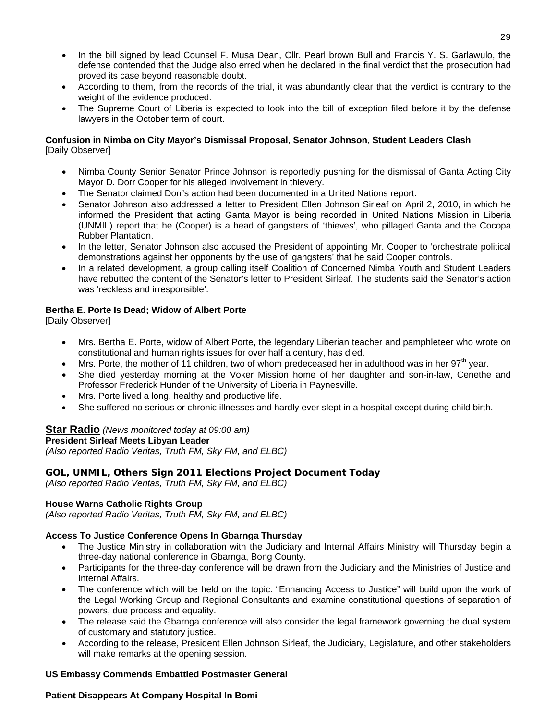- In the bill signed by lead Counsel F. Musa Dean, Cllr. Pearl brown Bull and Francis Y. S. Garlawulo, the defense contended that the Judge also erred when he declared in the final verdict that the prosecution had proved its case beyond reasonable doubt.
- According to them, from the records of the trial, it was abundantly clear that the verdict is contrary to the weight of the evidence produced.
- The Supreme Court of Liberia is expected to look into the bill of exception filed before it by the defense lawyers in the October term of court.

## **Confusion in Nimba on City Mayor's Dismissal Proposal, Senator Johnson, Student Leaders Clash**  [Daily Observer]

- Nimba County Senior Senator Prince Johnson is reportedly pushing for the dismissal of Ganta Acting City Mayor D. Dorr Cooper for his alleged involvement in thievery.
- The Senator claimed Dorr's action had been documented in a United Nations report.
- Senator Johnson also addressed a letter to President Ellen Johnson Sirleaf on April 2, 2010, in which he informed the President that acting Ganta Mayor is being recorded in United Nations Mission in Liberia (UNMIL) report that he (Cooper) is a head of gangsters of 'thieves', who pillaged Ganta and the Cocopa Rubber Plantation.
- In the letter, Senator Johnson also accused the President of appointing Mr. Cooper to 'orchestrate political demonstrations against her opponents by the use of 'gangsters' that he said Cooper controls.
- In a related development, a group calling itself Coalition of Concerned Nimba Youth and Student Leaders have rebutted the content of the Senator's letter to President Sirleaf. The students said the Senator's action was 'reckless and irresponsible'.

## **Bertha E. Porte Is Dead; Widow of Albert Porte**

[Daily Observer]

- Mrs. Bertha E. Porte, widow of Albert Porte, the legendary Liberian teacher and pamphleteer who wrote on constitutional and human rights issues for over half a century, has died.
- Mrs. Porte, the mother of 11 children, two of whom predeceased her in adulthood was in her  $97<sup>th</sup>$  year.
- She died yesterday morning at the Voker Mission home of her daughter and son-in-law, Cenethe and Professor Frederick Hunder of the University of Liberia in Paynesville.
- Mrs. Porte lived a long, healthy and productive life.
- She suffered no serious or chronic illnesses and hardly ever slept in a hospital except during child birth.

## **Star Radio** *(News monitored today at 09:00 am)*

## **President Sirleaf Meets Libyan Leader**

*(Also reported Radio Veritas, Truth FM, Sky FM, and ELBC)*

# **GOL, UNMIL, Others Sign 2011 Elections Project Document Today**

*(Also reported Radio Veritas, Truth FM, Sky FM, and ELBC)*

## **House Warns Catholic Rights Group**

*(Also reported Radio Veritas, Truth FM, Sky FM, and ELBC)*

## **Access To Justice Conference Opens In Gbarnga Thursday**

- The Justice Ministry in collaboration with the Judiciary and Internal Affairs Ministry will Thursday begin a three-day national conference in Gbarnga, Bong County.
- Participants for the three-day conference will be drawn from the Judiciary and the Ministries of Justice and Internal Affairs.
- The conference which will be held on the topic: "Enhancing Access to Justice" will build upon the work of the Legal Working Group and Regional Consultants and examine constitutional questions of separation of powers, due process and equality.
- The release said the Gbarnga conference will also consider the legal framework governing the dual system of customary and statutory justice.
- According to the release, President Ellen Johnson Sirleaf, the Judiciary, Legislature, and other stakeholders will make remarks at the opening session.

## **US Embassy Commends Embattled Postmaster General**

## **Patient Disappears At Company Hospital In Bomi**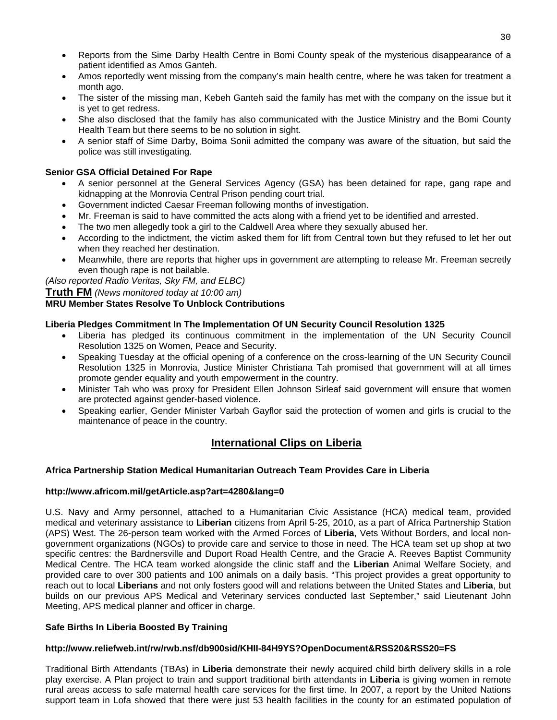- Reports from the Sime Darby Health Centre in Bomi County speak of the mysterious disappearance of a patient identified as Amos Ganteh.
- Amos reportedly went missing from the company's main health centre, where he was taken for treatment a month ago.
- The sister of the missing man, Kebeh Ganteh said the family has met with the company on the issue but it is yet to get redress.
- She also disclosed that the family has also communicated with the Justice Ministry and the Bomi County Health Team but there seems to be no solution in sight.
- A senior staff of Sime Darby, Boima Sonii admitted the company was aware of the situation, but said the police was still investigating.

## **Senior GSA Official Detained For Rape**

- A senior personnel at the General Services Agency (GSA) has been detained for rape, gang rape and kidnapping at the Monrovia Central Prison pending court trial.
- Government indicted Caesar Freeman following months of investigation.
- Mr. Freeman is said to have committed the acts along with a friend yet to be identified and arrested.
- The two men allegedly took a girl to the Caldwell Area where they sexually abused her.
- According to the indictment, the victim asked them for lift from Central town but they refused to let her out when they reached her destination.
- Meanwhile, there are reports that higher ups in government are attempting to release Mr. Freeman secretly even though rape is not bailable.

*(Also reported Radio Veritas, Sky FM, and ELBC)*

**Truth FM** *(News monitored today at 10:00 am)*

## **MRU Member States Resolve To Unblock Contributions**

## **Liberia Pledges Commitment In The Implementation Of UN Security Council Resolution 1325**

- Liberia has pledged its continuous commitment in the implementation of the UN Security Council Resolution 1325 on Women, Peace and Security.
- Speaking Tuesday at the official opening of a conference on the cross-learning of the UN Security Council Resolution 1325 in Monrovia, Justice Minister Christiana Tah promised that government will at all times promote gender equality and youth empowerment in the country.
- Minister Tah who was proxy for President Ellen Johnson Sirleaf said government will ensure that women are protected against gender-based violence.
- Speaking earlier, Gender Minister Varbah Gayflor said the protection of women and girls is crucial to the maintenance of peace in the country.

## **International Clips on Liberia**

## **Africa Partnership Station Medical Humanitarian Outreach Team Provides Care in Liberia**

## **<http://www.africom.mil/getArticle.asp?art=4280&lang=0>**

U.S. Navy and Army personnel, attached to a Humanitarian Civic Assistance (HCA) medical team, provided medical and veterinary assistance to **Liberian** citizens from April 5-25, 2010, as a part of Africa Partnership Station (APS) West. The 26-person team worked with the Armed Forces of **Liberia**, Vets Without Borders, and local nongovernment organizations (NGOs) to provide care and service to those in need. The HCA team set up shop at two specific centres: the Bardnersville and Duport Road Health Centre, and the Gracie A. Reeves Baptist Community Medical Centre. The HCA team worked alongside the clinic staff and the **Liberian** Animal Welfare Society, and provided care to over 300 patients and 100 animals on a daily basis. "This project provides a great opportunity to reach out to local **Liberians** and not only fosters good will and relations between the United States and **Liberia**, but builds on our previous APS Medical and Veterinary services conducted last September," said Lieutenant John Meeting, APS medical planner and officer in charge.

## **Safe Births In Liberia Boosted By Training**

## **<http://www.reliefweb.int/rw/rwb.nsf/db900sid/KHII-84H9YS?OpenDocument&RSS20&RSS20=FS>**

Traditional Birth Attendants (TBAs) in **Liberia** demonstrate their newly acquired child birth delivery skills in a role play exercise. A Plan project to train and support traditional birth attendants in **Liberia** is giving women in remote rural areas access to safe maternal health care services for the first time. In 2007, a report by the United Nations support team in Lofa showed that there were just 53 health facilities in the county for an estimated population of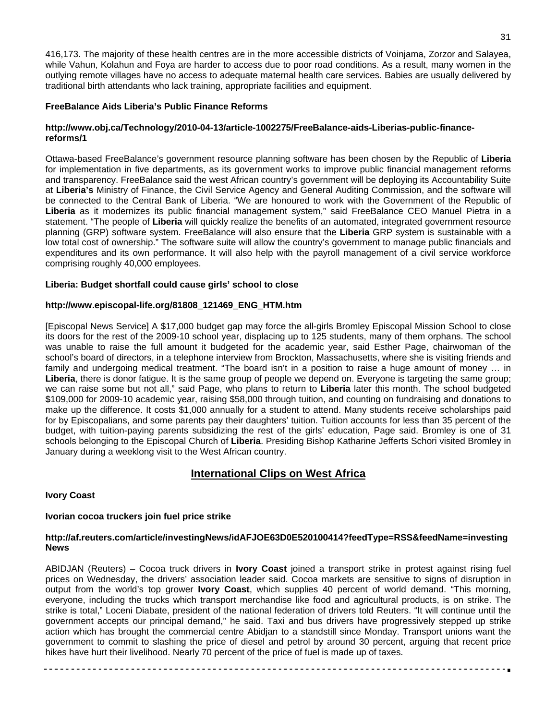416,173. The majority of these health centres are in the more accessible districts of Voinjama, Zorzor and Salayea, while Vahun, Kolahun and Foya are harder to access due to poor road conditions. As a result, many women in the outlying remote villages have no access to adequate maternal health care services. Babies are usually delivered by traditional birth attendants who lack training, appropriate facilities and equipment.

## **FreeBalance Aids Liberia's Public Finance Reforms**

## **[http://www.obj.ca/Technology/2010-04-13/article-1002275/FreeBalance-aids-Liberias-public-finance](http://www.obj.ca/Technology/2010-04-13/article-1002275/FreeBalance-aids-Liberias-public-finance-reforms/1)[reforms/1](http://www.obj.ca/Technology/2010-04-13/article-1002275/FreeBalance-aids-Liberias-public-finance-reforms/1)**

Ottawa-based FreeBalance's government resource planning software has been chosen by the Republic of **Liberia** for implementation in five departments, as its government works to improve public financial management reforms and transparency. FreeBalance said the west African country's government will be deploying its Accountability Suite at **Liberia's** Ministry of Finance, the Civil Service Agency and General Auditing Commission, and the software will be connected to the Central Bank of Liberia. "We are honoured to work with the Government of the Republic of **Liberia** as it modernizes its public financial management system," said FreeBalance CEO Manuel Pietra in a statement. "The people of **Liberia** will quickly realize the benefits of an automated, integrated government resource planning (GRP) software system. FreeBalance will also ensure that the **Liberia** GRP system is sustainable with a low total cost of ownership." The software suite will allow the country's government to manage public financials and expenditures and its own performance. It will also help with the payroll management of a civil service workforce comprising roughly 40,000 employees.

## **Liberia: Budget shortfall could cause girls' school to close**

## **[http://www.episcopal-life.org/81808\\_121469\\_ENG\\_HTM.htm](http://www.episcopal-life.org/81808_121469_ENG_HTM.htm)**

[Episcopal News Service] A \$17,000 budget gap may force the all-girls Bromley Episcopal Mission School to close its doors for the rest of the 2009-10 school year, displacing up to 125 students, many of them orphans. The school was unable to raise the full amount it budgeted for the academic year, said Esther Page, chairwoman of the school's board of directors, in a telephone interview from Brockton, Massachusetts, where she is visiting friends and family and undergoing medical treatment. "The board isn't in a position to raise a huge amount of money … in **Liberia**, there is donor fatigue. It is the same group of people we depend on. Everyone is targeting the same group; we can raise some but not all," said Page, who plans to return to **Liberia** later this month. The school budgeted \$109,000 for 2009-10 academic year, raising \$58,000 through tuition, and counting on fundraising and donations to make up the difference. It costs \$1,000 annually for a student to attend. Many students receive scholarships paid for by Episcopalians, and some parents pay their daughters' tuition. Tuition accounts for less than 35 percent of the budget, with tuition-paying parents subsidizing the rest of the girls' education, Page said. Bromley is one of 31 schools belonging to the Episcopal Church of **Liberia**. Presiding Bishop Katharine Jefferts Schori visited Bromley in January during a weeklong visit to the West African country.

## **International Clips on West Africa**

## **Ivory Coast**

## **Ivorian cocoa truckers join fuel price strike**

## **[http://af.reuters.com/article/investingNews/idAFJOE63D0E520100414?feedType=RSS&feedName=investing](http://af.reuters.com/article/investingNews/idAFJOE63D0E520100414?feedType=RSS&feedName=investingNews) [News](http://af.reuters.com/article/investingNews/idAFJOE63D0E520100414?feedType=RSS&feedName=investingNews)**

ABIDJAN (Reuters) – Cocoa truck drivers in **Ivory Coast** joined a transport strike in protest against rising fuel prices on Wednesday, the drivers' association leader said. Cocoa markets are sensitive to signs of disruption in output from the world's top grower **Ivory Coast**, which supplies 40 percent of world demand. "This morning, everyone, including the trucks which transport merchandise like food and agricultural products, is on strike. The strike is total," Loceni Diabate, president of the national federation of drivers told Reuters. "It will continue until the government accepts our principal demand," he said. Taxi and bus drivers have progressively stepped up strike action which has brought the commercial centre Abidjan to a standstill since Monday. Transport unions want the government to commit to slashing the price of diesel and petrol by around 30 percent, arguing that recent price hikes have hurt their livelihood. Nearly 70 percent of the price of fuel is made up of taxes.

-----------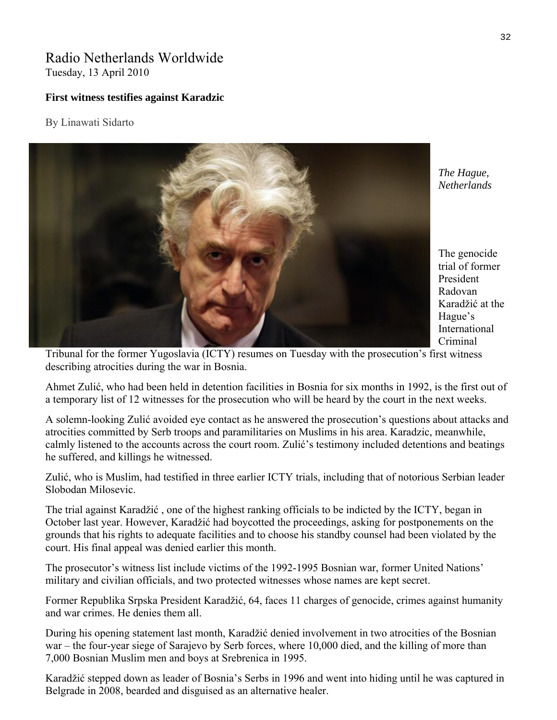# Radio Netherlands Worldwide Tuesday, 13 April 2010

## **First witness testifies against Karadzic**

## By Linawati Sidarto



*The Hague, Netherlands* 

The genocide trial of former President Radovan Karadžić at the Hague's International Criminal

Tribunal for the former Yugoslavia (ICTY) resumes on Tuesday with the prosecution's first witness describing atrocities during the war in Bosnia.

Ahmet Zulić, who had been held in detention facilities in Bosnia for six months in 1992, is the first out of a temporary list of 12 witnesses for the prosecution who will be heard by the court in the next weeks.

calmly listened to the accounts across the court room. Zulić's testimony included detentions and beatings A solemn-looking Zulić avoided eye contact as he answered the prosecution's questions about attacks and atrocities committed by Serb troops and paramilitaries on Muslims in his area. Karadzic, meanwhile, he suffered, and killings he witnessed.

Zulić, who is Muslim, had testified in three earlier ICTY trials, including that of notorious Serbian leader Slobodan Milosevic.

The trial against Karadžić, one of the highest ranking officials to be indicted by the ICTY, began in October last year. However, Karadžić had boycotted the proceedings, asking for postponements on the grounds that his rights to adequate facilities and to choose his standby counsel had been violated by the court. His final appeal was denied earlier this month.

The prosecutor's witness list include victims of the 1992-1995 Bosnian war, former United Nations' military and civilian officials, and two protected witnesses whose names are kept secret.

Former Republika Srpska President Karadžić, 64, faces 11 charges of genocide, crimes against humanity and war crimes. He denies them all.

During his opening statement last month, Karadžić denied involvement in two atrocities of the Bosnian war – the four-year siege of Sarajevo by Serb forces, where 10,000 died, and the killing of more than 7,000 Bosnian Muslim men and boys at Srebrenica in 1995.

Karadžić stepped down as leader of Bosnia's Serbs in 1996 and went into hiding until he was captured in Belgrade in 2008, bearded and disguised as an alternative healer.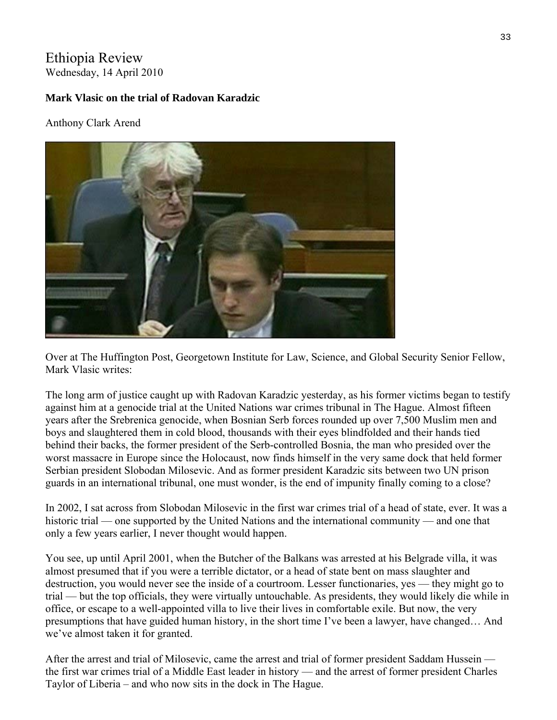# Ethiopia Review Wednesday, 14 April 2010

# **Mark Vlasic on the trial of Radovan Karadzic**

Anthony Clark Arend



Over at The Huffington Post, Georgetown Institute for Law, Science, and Global Security Senior Fellow, Mark Vlasic writes:

The long arm of justice caught up with Radovan Karadzic yesterday, as his former victims began to testify against him at a genocide trial at the United Nations war crimes tribunal in The Hague. Almost fifteen years after the Srebrenica genocide, when Bosnian Serb forces rounded up over 7,500 Muslim men and boys and slaughtered them in cold blood, thousands with their eyes blindfolded and their hands tied behind their backs, the former president of the Serb-controlled Bosnia, the man who presided over the worst massacre in Europe since the Holocaust, now finds himself in the very same dock that held former Serbian president Slobodan Milosevic. And as former president Karadzic sits between two UN prison guards in an international tribunal, one must wonder, is the end of impunity finally coming to a close?

In 2002, I sat across from Slobodan Milosevic in the first war crimes trial of a head of state, ever. It was a historic trial — one supported by the United Nations and the international community — and one that only a few years earlier, I never thought would happen.

You see, up until April 2001, when the Butcher of the Balkans was arrested at his Belgrade villa, it was almost presumed that if you were a terrible dictator, or a head of state bent on mass slaughter and destruction, you would never see the inside of a courtroom. Lesser functionaries, yes — they might go to trial — but the top officials, they were virtually untouchable. As presidents, they would likely die while in office, or escape to a well-appointed villa to live their lives in comfortable exile. But now, the very presumptions that have guided human history, in the short time I've been a lawyer, have changed… And we've almost taken it for granted.

After the arrest and trial of Milosevic, came the arrest and trial of former president Saddam Hussein the first war crimes trial of a Middle East leader in history — and the arrest of former president Charles Taylor of Liberia – and who now sits in the dock in The Hague.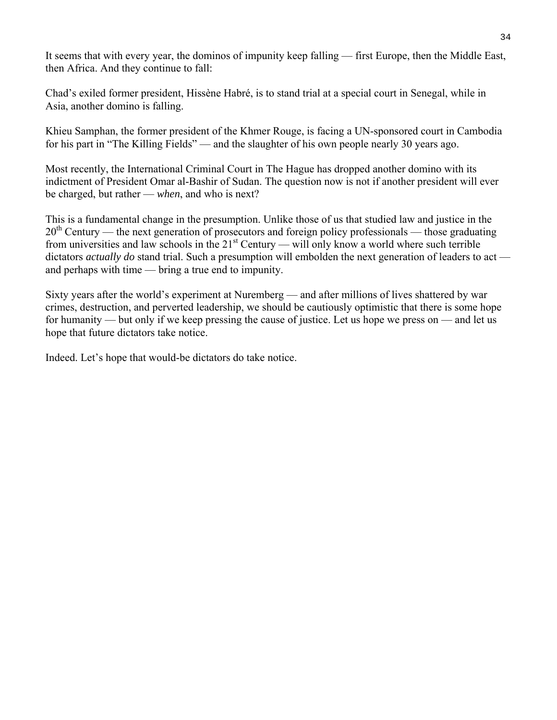It seems that with every year, the dominos of impunity keep falling — first Europe, then the Middle East, then Africa. And they continue to fall:

Chad's exiled former president, Hissène Habré, is to stand trial at a special court in Senegal, while in Asia, another domino is falling.

Khieu Samphan, the former president of the Khmer Rouge, is facing a UN-sponsored court in Cambodia for his part in "The Killing Fields" — and the slaughter of his own people nearly 30 years ago.

Most recently, the International Criminal Court in The Hague has dropped another domino with its indictment of President Omar al-Bashir of Sudan. The question now is not if another president will ever be charged, but rather — *when*, and who is next?

This is a fundamental change in the presumption. Unlike those of us that studied law and justice in the  $20<sup>th</sup>$  Century — the next generation of prosecutors and foreign policy professionals — those graduating from universities and law schools in the  $21<sup>st</sup>$  Century — will only know a world where such terrible dictators *actually do* stand trial. Such a presumption will embolden the next generation of leaders to act and perhaps with time — bring a true end to impunity.

Sixty years after the world's experiment at Nuremberg — and after millions of lives shattered by war crimes, destruction, and perverted leadership, we should be cautiously optimistic that there is some hope for humanity — but only if we keep pressing the cause of justice. Let us hope we press on — and let us hope that future dictators take notice.

Indeed. Let's hope that would-be dictators do take notice.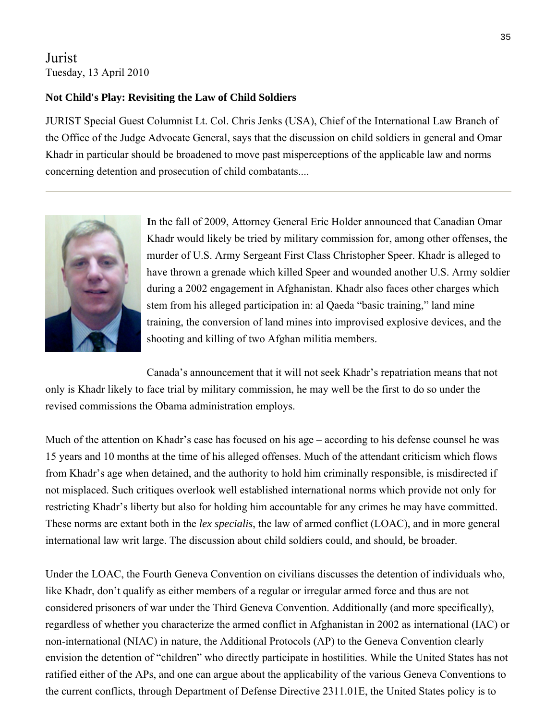# Jurist Tuesday, 13 April 2010

# **Not Child's Play: Revisiting the Law of Child Soldiers**

JURIST Special Guest Columnist Lt. Col. Chris Jenks (USA), Chief of the International Law Branch of Khadr in particular should be broadened to move past misperceptions of the applicable law and norms the Office of the Judge Advocate General, says that the discussion on child soldiers in general and Omar concerning detention and prosecution of child combatants....



Khadr would likely be tried by military commission for, among other offenses, the have thrown a grenade which killed Speer and wounded another U.S. Army soldier during a 2002 engagement in Afghanistan. Khadr also faces other charges which shooting and killing of two Afghan militia members. **I**n the fall of 2009, Attorney General Eric Holder announced that Canadian Omar murder of U.S. Army Sergeant First Class Christopher Speer. Khadr is alleged to stem from his alleged participation in: al Qaeda "basic training," land mine training, the conversion of land mines into improvised explosive devices, and the

Canada's announcement that it will not seek Khadr's repatriation means that not only is Khadr likely to face trial by military commission, he may well be the first to do so under the revised commissions the Obama administration employs.

Much of the attention on Khadr's case has focused on his age – according to his defense counsel he was 15 years and 10 months at the time of his alleged offenses. Much of the attendant criticism which flows from Khadr's age when detained, and the authority to hold him criminally responsible, is misdirected if not misplaced. Such critiques overlook well established international norms which provide not only for restricting Khadr's liberty but also for holding him accountable for any crimes he may have committed. These norms are extant both in the *lex specialis*, the law of armed conflict (LOAC), and in more general international law writ large. The discussion about child soldiers could, and should, be broader.

Under the LOAC, the Fourth Geneva Convention on civilians discusses the detention of individuals who, like Khadr, don't qualify as either members of a regular or irregular armed force and thus are not considered prisoners of war under the Third Geneva Convention. Additionally (and more specifically), regardless of whether you characterize the armed conflict in Afghanistan in 2002 as international (IAC) or non-international (NIAC) in nature, the Additional Protocols (AP) to the Geneva Convention clearly envision the detention of "children" who directly participate in hostilities. While the United States has not ratified either of the APs, and one can argue about the applicability of the various Geneva Conventions to the current conflicts, through Department of Defense Directive 2311.01E, the United States policy is to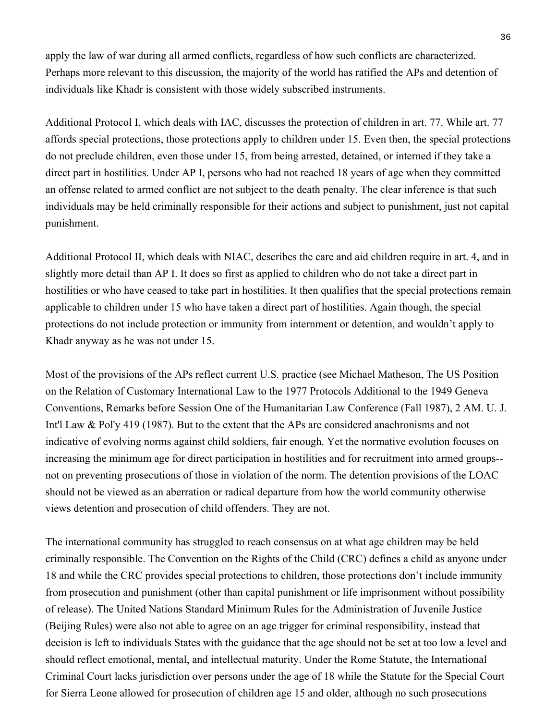apply the law of war during all armed conflicts, regardless of how such conflicts are characterized. Perhaps more relevant to this discussion, the majority of the world has ratified the APs and detention of individuals like Khadr is consistent with those widely subscribed instruments.

affords special protections, those protections apply to children under 15. Even then, the special protections direct part in hostilities. Under AP I, persons who had not reached 18 years of age when they committed an offense related to armed conflict are not subject to the death penalty. The clear inference is that such individuals may be held criminally responsible for their actions and subject to punishment, just not capital punishment. Additional Protocol I, which deals with IAC, discusses the protection of children in art. 77. While art. 77 do not preclude children, even those under 15, from being arrested, detained, or interned if they take a

Additional Protocol II, which deals with NIAC, describes the care and aid children require in art. 4, and in slightly more detail tha n AP I. It does so first as applied to children who do not take a direct part in hostilities or who have ceased to take part in hostilities. It then qualifies that the special protections remain applicable to children u nder 15 who have taken a direct part of hostilities. Again though, the special protections do not inclu de protection or immunity from internment or detention, and wouldn't apply to Khadr anyway as he w as not under 15.

Most of the provisions of the APs reflect current U.S. practice (see Michael Matheson, The US Position Conventions, Remarks before Session One of the Humanitarian Law Conference (Fall 1987), 2 AM. U. J. Int'l Law  $&$  Pol'y 419 (1987). But to the extent that the APs are considered anachronisms and not on the Relation of Customary International Law to the 1977 Protocols Additional to the 1949 Geneva indicative of evolving norms against child soldiers, fair enough. Yet the normative evolution focuses on increasing the minimum age for direct participation in hostilities and for recruitment into armed groups- not on preventing prosecutions of those in violation of the norm. The detention provisions of the LOAC should not be viewed as an aberration or radical departure from how the world community otherwise views detention and prosecution of child offenders. They are not.

The international community has struggled to reach consensus on at what age children may be held riminally responsible. The Convention on the Rights of the Child (CRC) defines a child as anyone under c from prosecution and punishment (other than capital punishment or life imprisonment without possibility decision is left to individuals States with the guidance that the age should not be set at too low a level and 18 and while the CRC provides special protections to children, those protections don't include immunity of release). The United Nations Standard Minimum Rules for the Administration of Juvenile Justice (Beijing Rules) were also not able to agree on an age trigger for criminal responsibility, instead that should reflect emotional, mental, and intellectual maturity. Under the Rome Statute, the International Criminal Court lacks jurisdiction over persons under the age of 18 while the Statute for the Special Court for Sierra Leone allowed for prosecution of children age 15 and older, although no such prosecutions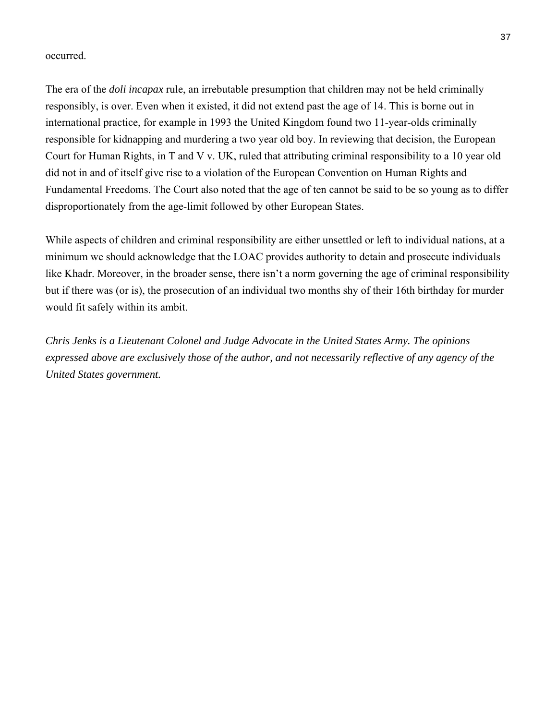## occurred.

The era of the *doli incapax* rule, an irrebutable presumption that children may n ot be held criminally re sponsibly, is over. Even when it existed, it did not extend past the age of 14. This is borne out in international practice, for example in 1993 the United Kingdom found two 11-year-olds criminally responsible for kidnapping and murdering a two year old boy. In reviewing that decision, the European Court for Human Rights, in [T and V v. UK,](http://jurist.law.pitt.edu/paperchase/2009/11/khadr-likely-to-face-military.php) ruled that attributing criminal responsibility to a 10 year old Fundamental Freedoms. The Court also noted that the age of ten cannot be said to be so young as to differ did not in and of itself give rise to a violation of the European Convention on Human Rights and disproportionately from the age-limit followed by other European States.

While aspects of children and criminal responsibility are either unsettled or left to individual nations, at a like Khadr. Moreover, in the broader sense, there isn't a norm governing the age of criminal responsibility minimum we should acknowledge that the LOAC provides authority to detain and prosecute individuals but if there was (or is), the prosecution of an individual two months shy of their 16th birthday for murder would fit safely within its ambit.

*Chris Jenks is a Lieutenant Colonel and Judge Advocate in the United States Army. The opinions* expressed above are exclusively those of the author, and not necessarily reflective of any agency of the *United States government.*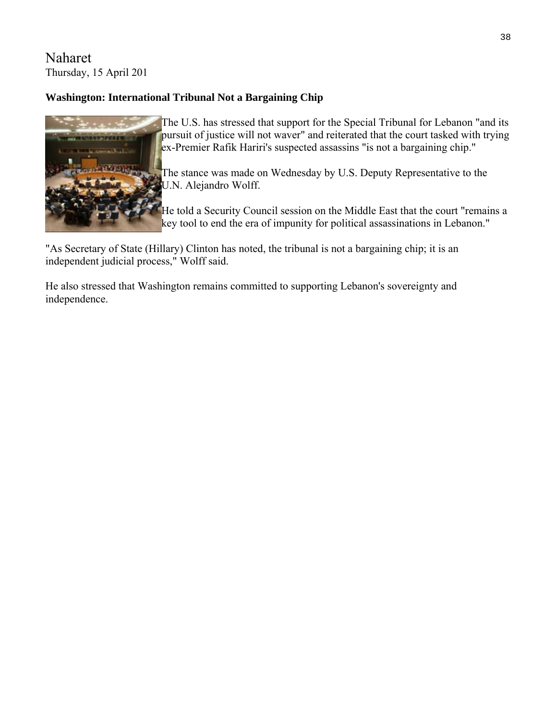# Naharet T hursday, 15 April 201

# **Washington: International Tribunal Not a Bargaining Chip**



The U.S. has stressed that support for the Special Tribunal for Lebanon "and its pursuit of justice will not waver" and reiterated that the court tasked with tryin g ex-Premier Rafik Hariri's suspected assassins "is not a bargaining chip."

The stance was made on Wednesday by U.S. Deputy Representative to the U.N. Alejandro Wolff.

He told a Security Council session on the Middl e East that the court "remains a key tool to end the era of impunity for political assassinations in Lebanon."

"As Secretary of State (Hillary) Clinton has noted, the tribunal is not a bargaining chip; it is an independent judicial process," Wolff said.

He also stressed that Washington remains committed to supporting Lebanon's sovereignty and independence.